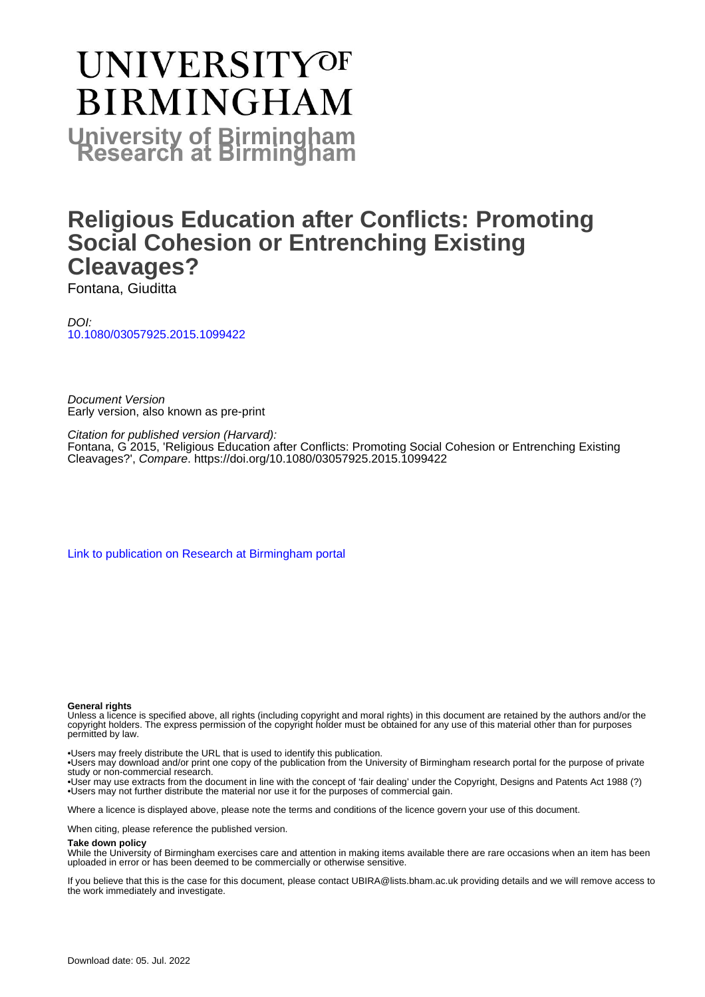# **UNIVERSITYOF BIRMINGHAM University of Birmingham**

# **Religious Education after Conflicts: Promoting Social Cohesion or Entrenching Existing Cleavages?**

Fontana, Giuditta

DOI: [10.1080/03057925.2015.1099422](https://doi.org/10.1080/03057925.2015.1099422)

Document Version Early version, also known as pre-print

Citation for published version (Harvard):

Fontana, G 2015, 'Religious Education after Conflicts: Promoting Social Cohesion or Entrenching Existing Cleavages?', Compare. <https://doi.org/10.1080/03057925.2015.1099422>

[Link to publication on Research at Birmingham portal](https://birmingham.elsevierpure.com/en/publications/37e6d15c-cb81-4a37-8938-e9ad65fa5bc7)

#### **General rights**

Unless a licence is specified above, all rights (including copyright and moral rights) in this document are retained by the authors and/or the copyright holders. The express permission of the copyright holder must be obtained for any use of this material other than for purposes permitted by law.

• Users may freely distribute the URL that is used to identify this publication.

• Users may download and/or print one copy of the publication from the University of Birmingham research portal for the purpose of private study or non-commercial research.

• User may use extracts from the document in line with the concept of 'fair dealing' under the Copyright, Designs and Patents Act 1988 (?) • Users may not further distribute the material nor use it for the purposes of commercial gain.

Where a licence is displayed above, please note the terms and conditions of the licence govern your use of this document.

When citing, please reference the published version.

#### **Take down policy**

While the University of Birmingham exercises care and attention in making items available there are rare occasions when an item has been uploaded in error or has been deemed to be commercially or otherwise sensitive.

If you believe that this is the case for this document, please contact UBIRA@lists.bham.ac.uk providing details and we will remove access to the work immediately and investigate.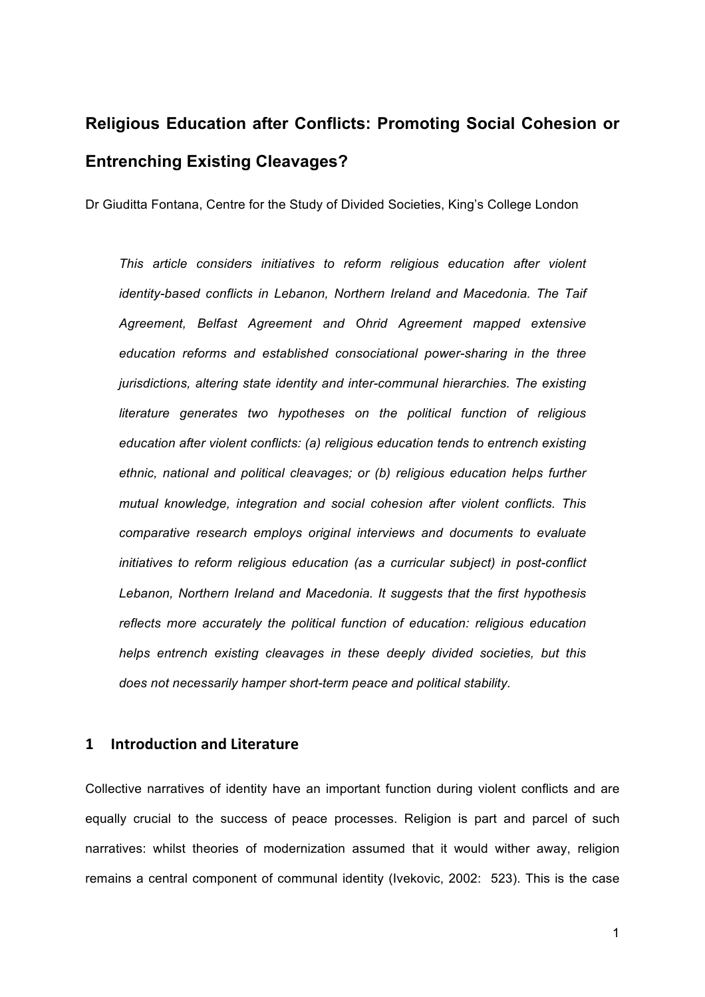# **Religious Education after Conflicts: Promoting Social Cohesion or Entrenching Existing Cleavages?**

Dr Giuditta Fontana, Centre for the Study of Divided Societies, King's College London

*This article considers initiatives to reform religious education after violent identity-based conflicts in Lebanon, Northern Ireland and Macedonia. The Taif Agreement, Belfast Agreement and Ohrid Agreement mapped extensive education reforms and established consociational power-sharing in the three jurisdictions, altering state identity and inter-communal hierarchies. The existing literature generates two hypotheses on the political function of religious education after violent conflicts: (a) religious education tends to entrench existing ethnic, national and political cleavages; or (b) religious education helps further mutual knowledge, integration and social cohesion after violent conflicts. This comparative research employs original interviews and documents to evaluate initiatives to reform religious education (as a curricular subject) in post-conflict Lebanon, Northern Ireland and Macedonia. It suggests that the first hypothesis reflects more accurately the political function of education: religious education helps entrench existing cleavages in these deeply divided societies, but this does not necessarily hamper short-term peace and political stability.*

### **1 Introduction and Literature**

Collective narratives of identity have an important function during violent conflicts and are equally crucial to the success of peace processes. Religion is part and parcel of such narratives: whilst theories of modernization assumed that it would wither away, religion remains a central component of communal identity (Ivekovic, 2002: 523). This is the case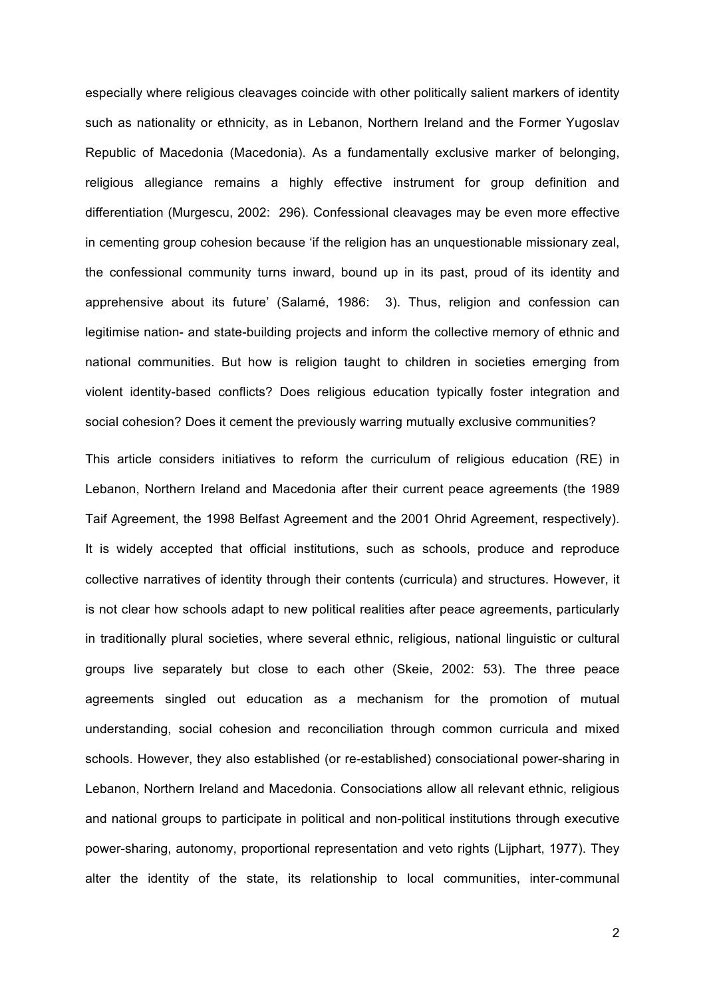especially where religious cleavages coincide with other politically salient markers of identity such as nationality or ethnicity, as in Lebanon, Northern Ireland and the Former Yugoslav Republic of Macedonia (Macedonia). As a fundamentally exclusive marker of belonging, religious allegiance remains a highly effective instrument for group definition and differentiation (Murgescu, 2002: 296). Confessional cleavages may be even more effective in cementing group cohesion because 'if the religion has an unquestionable missionary zeal, the confessional community turns inward, bound up in its past, proud of its identity and apprehensive about its future' (Salamé, 1986: 3). Thus, religion and confession can legitimise nation- and state-building projects and inform the collective memory of ethnic and national communities. But how is religion taught to children in societies emerging from violent identity-based conflicts? Does religious education typically foster integration and social cohesion? Does it cement the previously warring mutually exclusive communities?

This article considers initiatives to reform the curriculum of religious education (RE) in Lebanon, Northern Ireland and Macedonia after their current peace agreements (the 1989 Taif Agreement, the 1998 Belfast Agreement and the 2001 Ohrid Agreement, respectively). It is widely accepted that official institutions, such as schools, produce and reproduce collective narratives of identity through their contents (curricula) and structures. However, it is not clear how schools adapt to new political realities after peace agreements, particularly in traditionally plural societies, where several ethnic, religious, national linguistic or cultural groups live separately but close to each other (Skeie, 2002: 53). The three peace agreements singled out education as a mechanism for the promotion of mutual understanding, social cohesion and reconciliation through common curricula and mixed schools. However, they also established (or re-established) consociational power-sharing in Lebanon, Northern Ireland and Macedonia. Consociations allow all relevant ethnic, religious and national groups to participate in political and non-political institutions through executive power-sharing, autonomy, proportional representation and veto rights (Lijphart, 1977). They alter the identity of the state, its relationship to local communities, inter-communal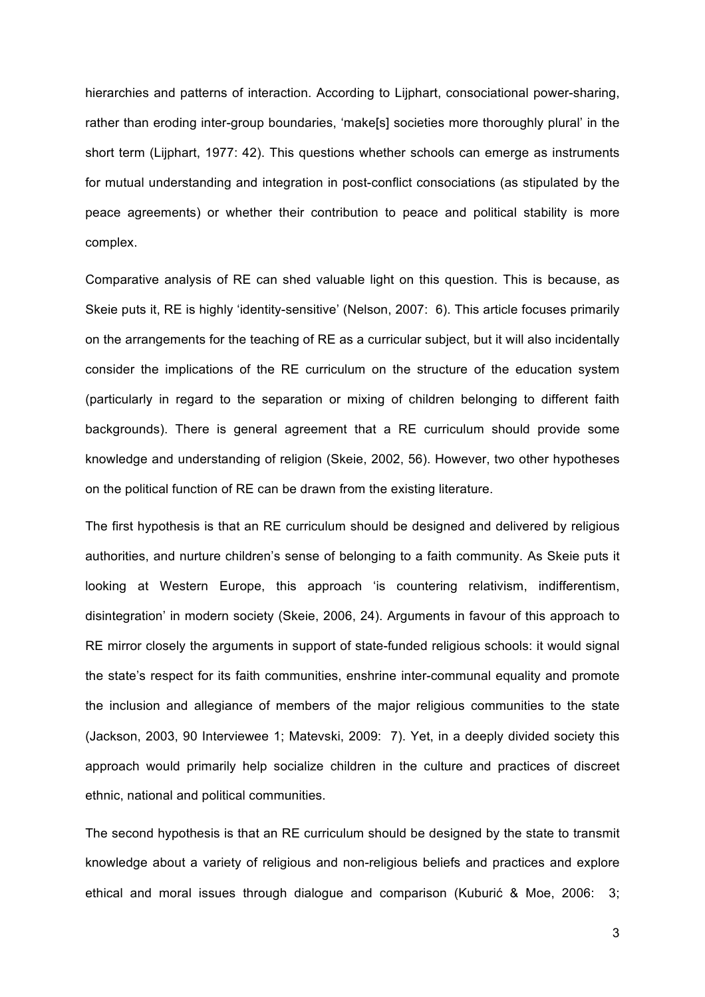hierarchies and patterns of interaction. According to Lijphart, consociational power-sharing, rather than eroding inter-group boundaries, 'make[s] societies more thoroughly plural' in the short term (Lijphart, 1977: 42). This questions whether schools can emerge as instruments for mutual understanding and integration in post-conflict consociations (as stipulated by the peace agreements) or whether their contribution to peace and political stability is more complex.

Comparative analysis of RE can shed valuable light on this question. This is because, as Skeie puts it, RE is highly 'identity-sensitive' (Nelson, 2007: 6). This article focuses primarily on the arrangements for the teaching of RE as a curricular subject, but it will also incidentally consider the implications of the RE curriculum on the structure of the education system (particularly in regard to the separation or mixing of children belonging to different faith backgrounds). There is general agreement that a RE curriculum should provide some knowledge and understanding of religion (Skeie, 2002, 56). However, two other hypotheses on the political function of RE can be drawn from the existing literature.

The first hypothesis is that an RE curriculum should be designed and delivered by religious authorities, and nurture children's sense of belonging to a faith community. As Skeie puts it looking at Western Europe, this approach 'is countering relativism, indifferentism, disintegration' in modern society (Skeie, 2006, 24). Arguments in favour of this approach to RE mirror closely the arguments in support of state-funded religious schools: it would signal the state's respect for its faith communities, enshrine inter-communal equality and promote the inclusion and allegiance of members of the major religious communities to the state (Jackson, 2003, 90 Interviewee 1; Matevski, 2009: 7). Yet, in a deeply divided society this approach would primarily help socialize children in the culture and practices of discreet ethnic, national and political communities.

The second hypothesis is that an RE curriculum should be designed by the state to transmit knowledge about a variety of religious and non-religious beliefs and practices and explore ethical and moral issues through dialogue and comparison (Kuburić & Moe, 2006: 3;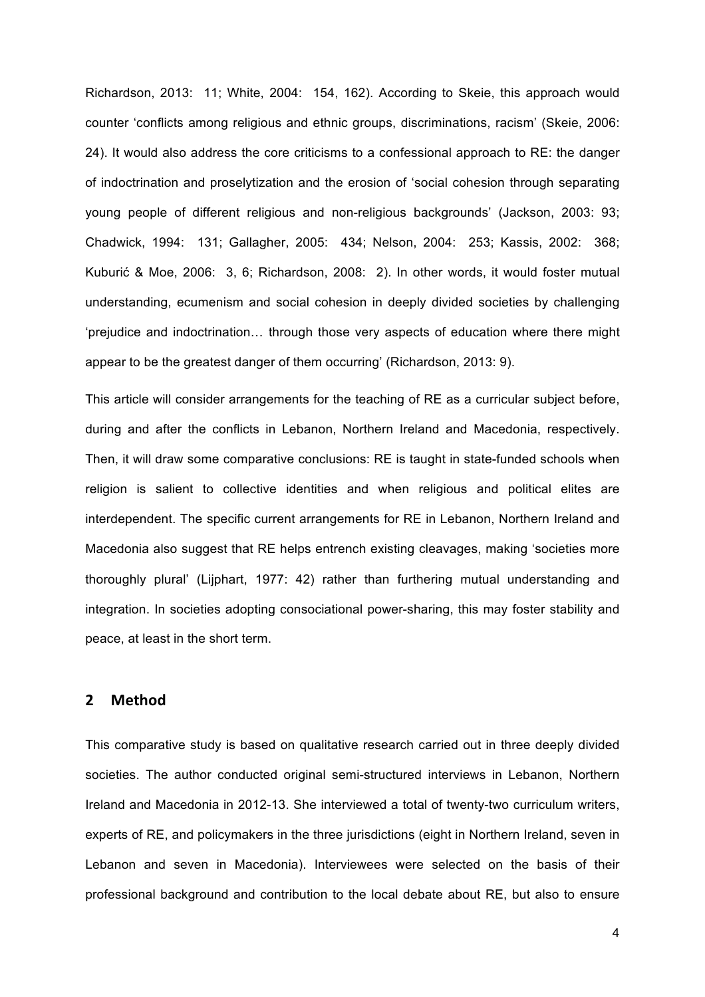Richardson, 2013: 11; White, 2004: 154, 162). According to Skeie, this approach would counter 'conflicts among religious and ethnic groups, discriminations, racism' (Skeie, 2006: 24). It would also address the core criticisms to a confessional approach to RE: the danger of indoctrination and proselytization and the erosion of 'social cohesion through separating young people of different religious and non-religious backgrounds' (Jackson, 2003: 93; Chadwick, 1994: 131; Gallagher, 2005: 434; Nelson, 2004: 253; Kassis, 2002: 368; Kuburić & Moe, 2006: 3, 6; Richardson, 2008: 2). In other words, it would foster mutual understanding, ecumenism and social cohesion in deeply divided societies by challenging 'prejudice and indoctrination… through those very aspects of education where there might appear to be the greatest danger of them occurring' (Richardson, 2013: 9).

This article will consider arrangements for the teaching of RE as a curricular subject before, during and after the conflicts in Lebanon, Northern Ireland and Macedonia, respectively. Then, it will draw some comparative conclusions: RE is taught in state-funded schools when religion is salient to collective identities and when religious and political elites are interdependent. The specific current arrangements for RE in Lebanon, Northern Ireland and Macedonia also suggest that RE helps entrench existing cleavages, making 'societies more thoroughly plural' (Lijphart, 1977: 42) rather than furthering mutual understanding and integration. In societies adopting consociational power-sharing, this may foster stability and peace, at least in the short term.

## **2 Method**

This comparative study is based on qualitative research carried out in three deeply divided societies. The author conducted original semi-structured interviews in Lebanon, Northern Ireland and Macedonia in 2012-13. She interviewed a total of twenty-two curriculum writers, experts of RE, and policymakers in the three jurisdictions (eight in Northern Ireland, seven in Lebanon and seven in Macedonia). Interviewees were selected on the basis of their professional background and contribution to the local debate about RE, but also to ensure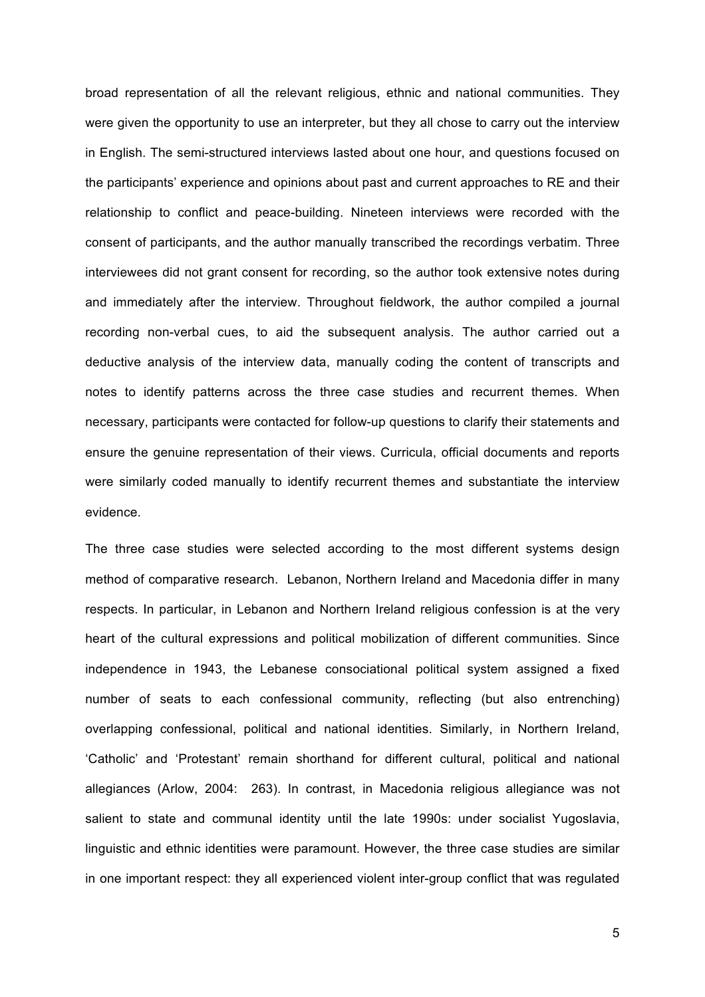broad representation of all the relevant religious, ethnic and national communities. They were given the opportunity to use an interpreter, but they all chose to carry out the interview in English. The semi-structured interviews lasted about one hour, and questions focused on the participants' experience and opinions about past and current approaches to RE and their relationship to conflict and peace-building. Nineteen interviews were recorded with the consent of participants, and the author manually transcribed the recordings verbatim. Three interviewees did not grant consent for recording, so the author took extensive notes during and immediately after the interview. Throughout fieldwork, the author compiled a journal recording non-verbal cues, to aid the subsequent analysis. The author carried out a deductive analysis of the interview data, manually coding the content of transcripts and notes to identify patterns across the three case studies and recurrent themes. When necessary, participants were contacted for follow-up questions to clarify their statements and ensure the genuine representation of their views. Curricula, official documents and reports were similarly coded manually to identify recurrent themes and substantiate the interview evidence.

The three case studies were selected according to the most different systems design method of comparative research. Lebanon, Northern Ireland and Macedonia differ in many respects. In particular, in Lebanon and Northern Ireland religious confession is at the very heart of the cultural expressions and political mobilization of different communities. Since independence in 1943, the Lebanese consociational political system assigned a fixed number of seats to each confessional community, reflecting (but also entrenching) overlapping confessional, political and national identities. Similarly, in Northern Ireland, 'Catholic' and 'Protestant' remain shorthand for different cultural, political and national allegiances (Arlow, 2004: 263). In contrast, in Macedonia religious allegiance was not salient to state and communal identity until the late 1990s: under socialist Yugoslavia, linguistic and ethnic identities were paramount. However, the three case studies are similar in one important respect: they all experienced violent inter-group conflict that was regulated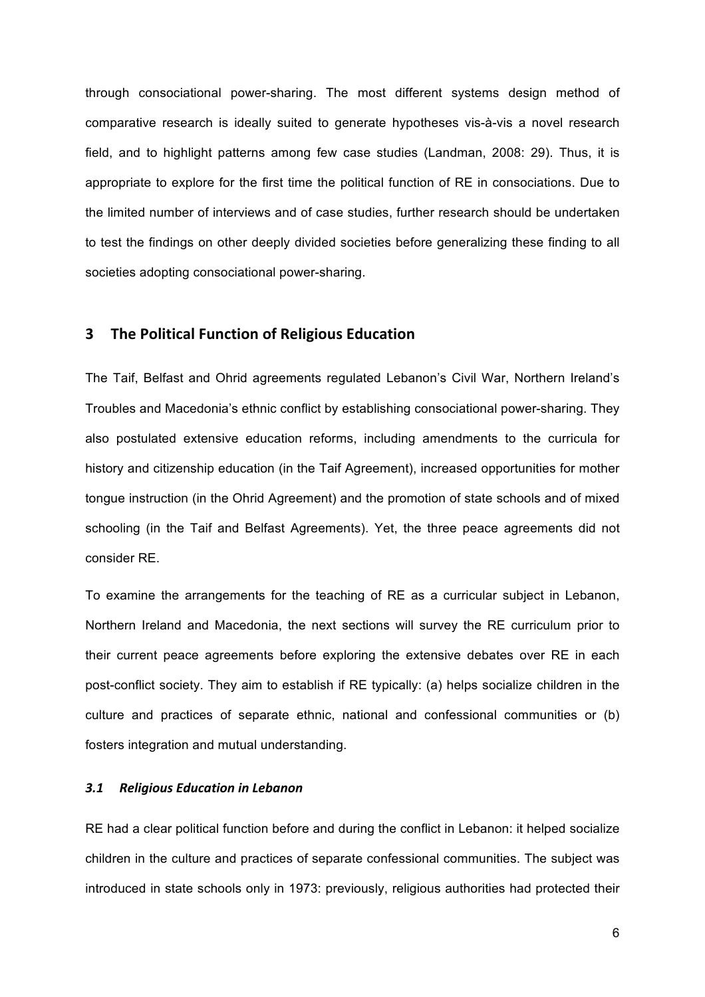through consociational power-sharing. The most different systems design method of comparative research is ideally suited to generate hypotheses vis-à-vis a novel research field, and to highlight patterns among few case studies (Landman, 2008: 29). Thus, it is appropriate to explore for the first time the political function of RE in consociations. Due to the limited number of interviews and of case studies, further research should be undertaken to test the findings on other deeply divided societies before generalizing these finding to all societies adopting consociational power-sharing.

# **3** The Political Function of Religious Education

The Taif, Belfast and Ohrid agreements regulated Lebanon's Civil War, Northern Ireland's Troubles and Macedonia's ethnic conflict by establishing consociational power-sharing. They also postulated extensive education reforms, including amendments to the curricula for history and citizenship education (in the Taif Agreement), increased opportunities for mother tongue instruction (in the Ohrid Agreement) and the promotion of state schools and of mixed schooling (in the Taif and Belfast Agreements). Yet, the three peace agreements did not consider RE.

To examine the arrangements for the teaching of RE as a curricular subject in Lebanon, Northern Ireland and Macedonia, the next sections will survey the RE curriculum prior to their current peace agreements before exploring the extensive debates over RE in each post-conflict society. They aim to establish if RE typically: (a) helps socialize children in the culture and practices of separate ethnic, national and confessional communities or (b) fosters integration and mutual understanding.

#### 3.1 Religious Education in Lebanon

RE had a clear political function before and during the conflict in Lebanon: it helped socialize children in the culture and practices of separate confessional communities. The subject was introduced in state schools only in 1973: previously, religious authorities had protected their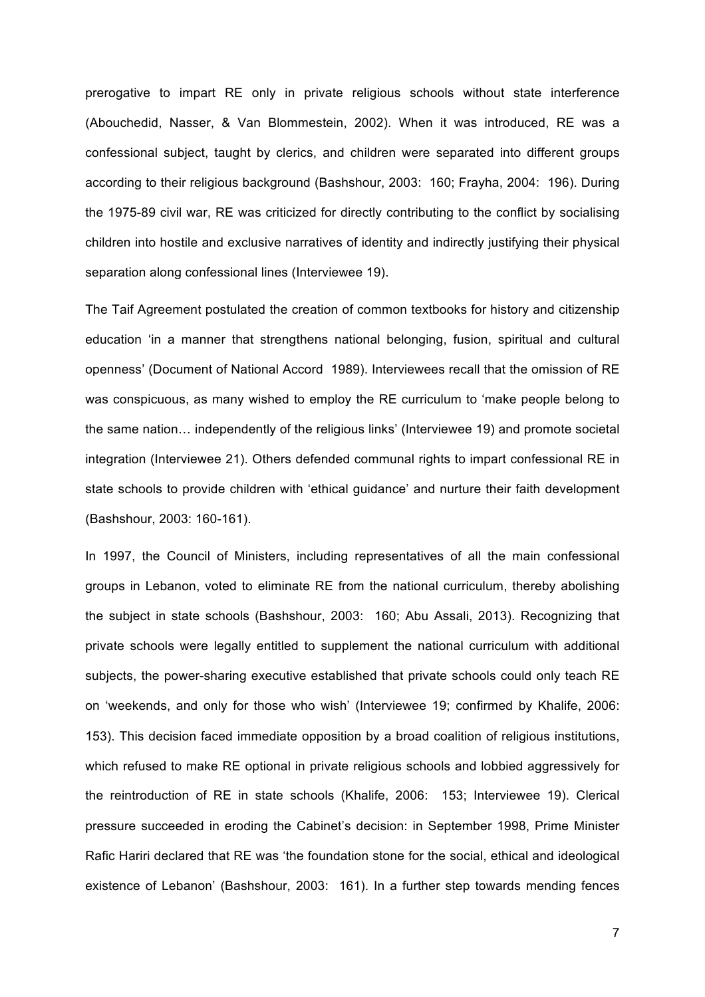prerogative to impart RE only in private religious schools without state interference (Abouchedid, Nasser, & Van Blommestein, 2002). When it was introduced, RE was a confessional subject, taught by clerics, and children were separated into different groups according to their religious background (Bashshour, 2003: 160; Frayha, 2004: 196). During the 1975-89 civil war, RE was criticized for directly contributing to the conflict by socialising children into hostile and exclusive narratives of identity and indirectly justifying their physical separation along confessional lines (Interviewee 19).

The Taif Agreement postulated the creation of common textbooks for history and citizenship education 'in a manner that strengthens national belonging, fusion, spiritual and cultural openness' (Document of National Accord 1989). Interviewees recall that the omission of RE was conspicuous, as many wished to employ the RE curriculum to 'make people belong to the same nation… independently of the religious links' (Interviewee 19) and promote societal integration (Interviewee 21). Others defended communal rights to impart confessional RE in state schools to provide children with 'ethical guidance' and nurture their faith development (Bashshour, 2003: 160-161).

In 1997, the Council of Ministers, including representatives of all the main confessional groups in Lebanon, voted to eliminate RE from the national curriculum, thereby abolishing the subject in state schools (Bashshour, 2003: 160; Abu Assali, 2013). Recognizing that private schools were legally entitled to supplement the national curriculum with additional subjects, the power-sharing executive established that private schools could only teach RE on 'weekends, and only for those who wish' (Interviewee 19; confirmed by Khalife, 2006: 153). This decision faced immediate opposition by a broad coalition of religious institutions, which refused to make RE optional in private religious schools and lobbied aggressively for the reintroduction of RE in state schools (Khalife, 2006: 153; Interviewee 19). Clerical pressure succeeded in eroding the Cabinet's decision: in September 1998, Prime Minister Rafic Hariri declared that RE was 'the foundation stone for the social, ethical and ideological existence of Lebanon' (Bashshour, 2003: 161). In a further step towards mending fences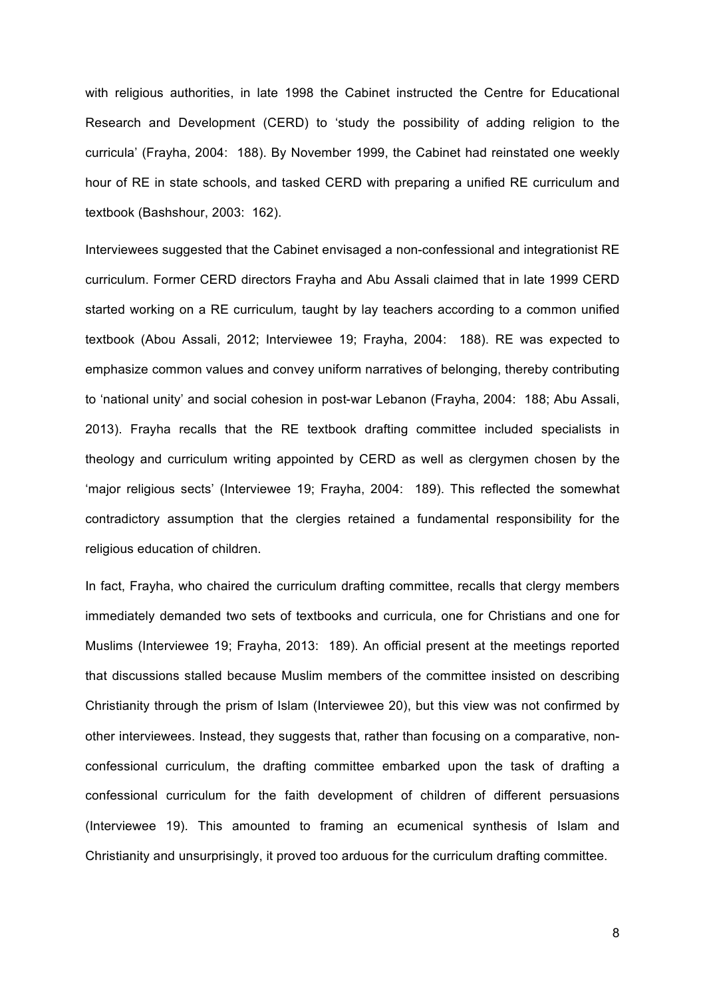with religious authorities, in late 1998 the Cabinet instructed the Centre for Educational Research and Development (CERD) to 'study the possibility of adding religion to the curricula' (Frayha, 2004: 188). By November 1999, the Cabinet had reinstated one weekly hour of RE in state schools, and tasked CERD with preparing a unified RE curriculum and textbook (Bashshour, 2003: 162).

Interviewees suggested that the Cabinet envisaged a non-confessional and integrationist RE curriculum. Former CERD directors Frayha and Abu Assali claimed that in late 1999 CERD started working on a RE curriculum*,* taught by lay teachers according to a common unified textbook (Abou Assali, 2012; Interviewee 19; Frayha, 2004: 188). RE was expected to emphasize common values and convey uniform narratives of belonging, thereby contributing to 'national unity' and social cohesion in post-war Lebanon (Frayha, 2004: 188; Abu Assali, 2013). Frayha recalls that the RE textbook drafting committee included specialists in theology and curriculum writing appointed by CERD as well as clergymen chosen by the 'major religious sects' (Interviewee 19; Frayha, 2004: 189). This reflected the somewhat contradictory assumption that the clergies retained a fundamental responsibility for the religious education of children.

In fact, Frayha, who chaired the curriculum drafting committee, recalls that clergy members immediately demanded two sets of textbooks and curricula, one for Christians and one for Muslims (Interviewee 19; Frayha, 2013: 189). An official present at the meetings reported that discussions stalled because Muslim members of the committee insisted on describing Christianity through the prism of Islam (Interviewee 20), but this view was not confirmed by other interviewees. Instead, they suggests that, rather than focusing on a comparative, nonconfessional curriculum, the drafting committee embarked upon the task of drafting a confessional curriculum for the faith development of children of different persuasions (Interviewee 19). This amounted to framing an ecumenical synthesis of Islam and Christianity and unsurprisingly, it proved too arduous for the curriculum drafting committee.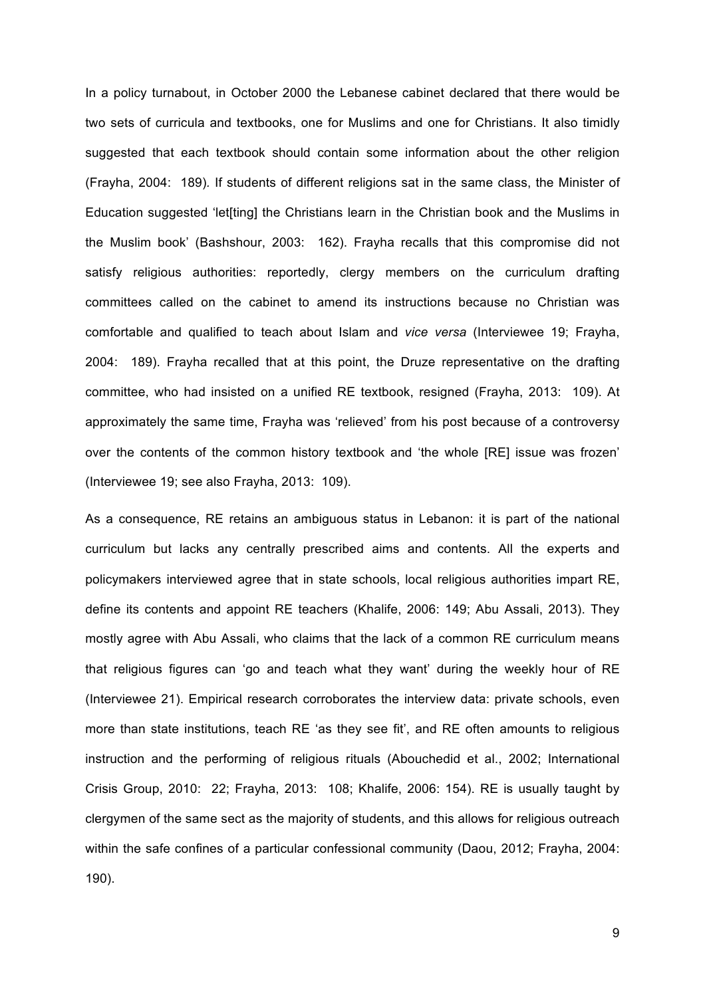In a policy turnabout, in October 2000 the Lebanese cabinet declared that there would be two sets of curricula and textbooks, one for Muslims and one for Christians. It also timidly suggested that each textbook should contain some information about the other religion (Frayha, 2004: 189)*.* If students of different religions sat in the same class, the Minister of Education suggested 'let[ting] the Christians learn in the Christian book and the Muslims in the Muslim book' (Bashshour, 2003: 162). Frayha recalls that this compromise did not satisfy religious authorities: reportedly, clergy members on the curriculum drafting committees called on the cabinet to amend its instructions because no Christian was comfortable and qualified to teach about Islam and *vice versa* (Interviewee 19; Frayha, 2004: 189). Frayha recalled that at this point, the Druze representative on the drafting committee, who had insisted on a unified RE textbook, resigned (Frayha, 2013: 109). At approximately the same time, Frayha was 'relieved' from his post because of a controversy over the contents of the common history textbook and 'the whole [RE] issue was frozen' (Interviewee 19; see also Frayha, 2013: 109).

As a consequence, RE retains an ambiguous status in Lebanon: it is part of the national curriculum but lacks any centrally prescribed aims and contents. All the experts and policymakers interviewed agree that in state schools, local religious authorities impart RE, define its contents and appoint RE teachers (Khalife, 2006: 149; Abu Assali, 2013). They mostly agree with Abu Assali, who claims that the lack of a common RE curriculum means that religious figures can 'go and teach what they want' during the weekly hour of RE (Interviewee 21). Empirical research corroborates the interview data: private schools, even more than state institutions, teach RE 'as they see fit', and RE often amounts to religious instruction and the performing of religious rituals (Abouchedid et al., 2002; International Crisis Group, 2010: 22; Frayha, 2013: 108; Khalife, 2006: 154). RE is usually taught by clergymen of the same sect as the majority of students, and this allows for religious outreach within the safe confines of a particular confessional community (Daou, 2012; Frayha, 2004: 190).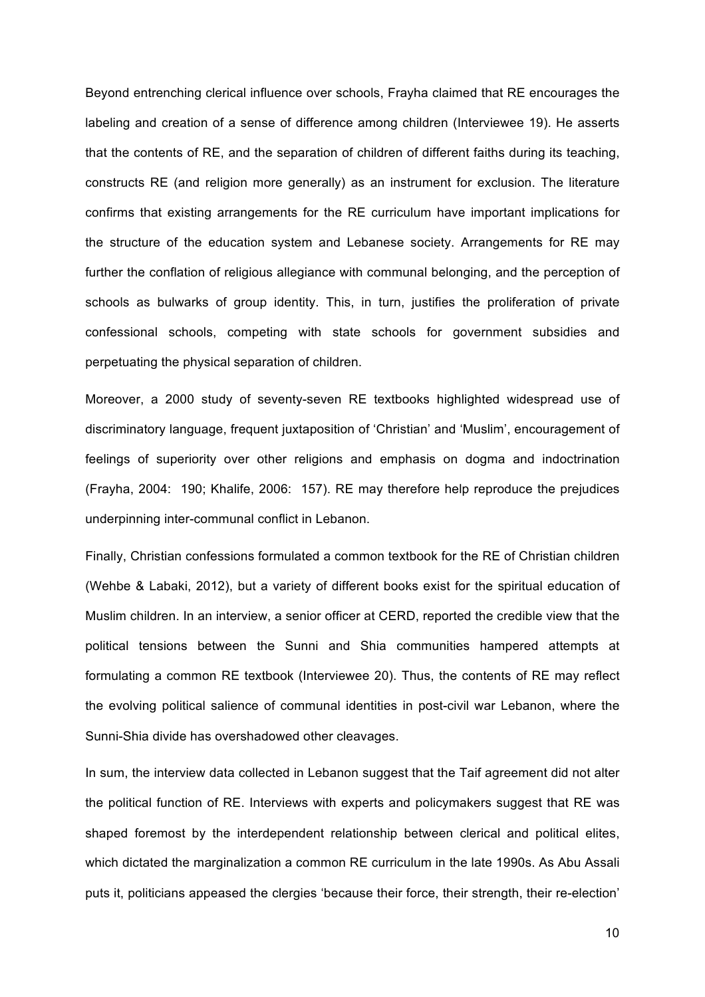Beyond entrenching clerical influence over schools, Frayha claimed that RE encourages the labeling and creation of a sense of difference among children (Interviewee 19). He asserts that the contents of RE, and the separation of children of different faiths during its teaching, constructs RE (and religion more generally) as an instrument for exclusion. The literature confirms that existing arrangements for the RE curriculum have important implications for the structure of the education system and Lebanese society. Arrangements for RE may further the conflation of religious allegiance with communal belonging, and the perception of schools as bulwarks of group identity. This, in turn, justifies the proliferation of private confessional schools, competing with state schools for government subsidies and perpetuating the physical separation of children.

Moreover, a 2000 study of seventy-seven RE textbooks highlighted widespread use of discriminatory language, frequent juxtaposition of 'Christian' and 'Muslim', encouragement of feelings of superiority over other religions and emphasis on dogma and indoctrination (Frayha, 2004: 190; Khalife, 2006: 157). RE may therefore help reproduce the prejudices underpinning inter-communal conflict in Lebanon.

Finally, Christian confessions formulated a common textbook for the RE of Christian children (Wehbe & Labaki, 2012), but a variety of different books exist for the spiritual education of Muslim children. In an interview, a senior officer at CERD, reported the credible view that the political tensions between the Sunni and Shia communities hampered attempts at formulating a common RE textbook (Interviewee 20). Thus, the contents of RE may reflect the evolving political salience of communal identities in post-civil war Lebanon, where the Sunni-Shia divide has overshadowed other cleavages.

In sum, the interview data collected in Lebanon suggest that the Taif agreement did not alter the political function of RE. Interviews with experts and policymakers suggest that RE was shaped foremost by the interdependent relationship between clerical and political elites, which dictated the marginalization a common RE curriculum in the late 1990s. As Abu Assali puts it, politicians appeased the clergies 'because their force, their strength, their re-election'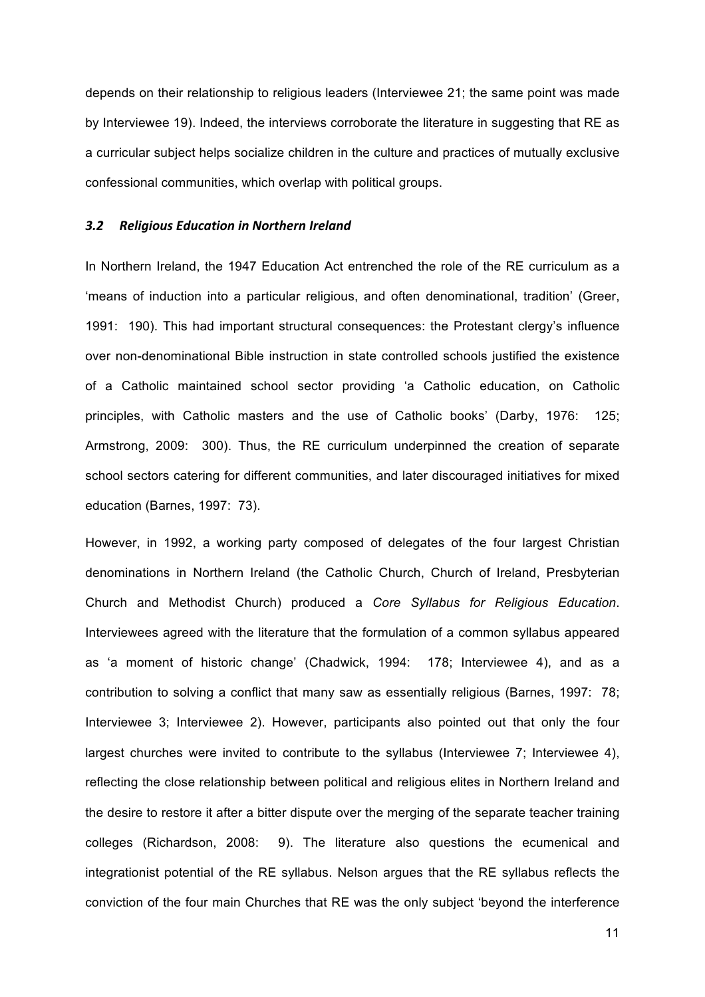depends on their relationship to religious leaders (Interviewee 21; the same point was made by Interviewee 19). Indeed, the interviews corroborate the literature in suggesting that RE as a curricular subject helps socialize children in the culture and practices of mutually exclusive confessional communities, which overlap with political groups.

#### 3.2 Religious Education in Northern Ireland

In Northern Ireland, the 1947 Education Act entrenched the role of the RE curriculum as a 'means of induction into a particular religious, and often denominational, tradition' (Greer, 1991: 190). This had important structural consequences: the Protestant clergy's influence over non-denominational Bible instruction in state controlled schools justified the existence of a Catholic maintained school sector providing 'a Catholic education, on Catholic principles, with Catholic masters and the use of Catholic books' (Darby, 1976: 125; Armstrong, 2009: 300). Thus, the RE curriculum underpinned the creation of separate school sectors catering for different communities, and later discouraged initiatives for mixed education (Barnes, 1997: 73).

However, in 1992, a working party composed of delegates of the four largest Christian denominations in Northern Ireland (the Catholic Church, Church of Ireland, Presbyterian Church and Methodist Church) produced a *Core Syllabus for Religious Education*. Interviewees agreed with the literature that the formulation of a common syllabus appeared as 'a moment of historic change' (Chadwick, 1994: 178; Interviewee 4), and as a contribution to solving a conflict that many saw as essentially religious (Barnes, 1997: 78; Interviewee 3; Interviewee 2). However, participants also pointed out that only the four largest churches were invited to contribute to the syllabus (Interviewee 7; Interviewee 4), reflecting the close relationship between political and religious elites in Northern Ireland and the desire to restore it after a bitter dispute over the merging of the separate teacher training colleges (Richardson, 2008: 9). The literature also questions the ecumenical and integrationist potential of the RE syllabus. Nelson argues that the RE syllabus reflects the conviction of the four main Churches that RE was the only subject 'beyond the interference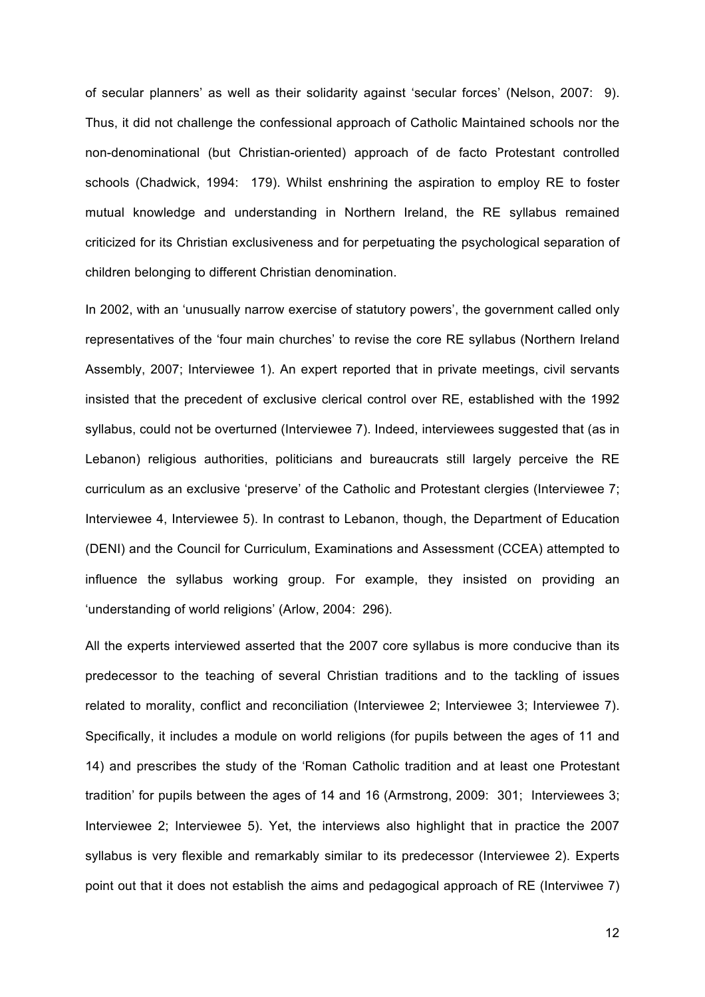of secular planners' as well as their solidarity against 'secular forces' (Nelson, 2007: 9). Thus, it did not challenge the confessional approach of Catholic Maintained schools nor the non-denominational (but Christian-oriented) approach of de facto Protestant controlled schools (Chadwick, 1994: 179). Whilst enshrining the aspiration to employ RE to foster mutual knowledge and understanding in Northern Ireland, the RE syllabus remained criticized for its Christian exclusiveness and for perpetuating the psychological separation of children belonging to different Christian denomination.

In 2002, with an 'unusually narrow exercise of statutory powers', the government called only representatives of the 'four main churches' to revise the core RE syllabus (Northern Ireland Assembly, 2007; Interviewee 1). An expert reported that in private meetings, civil servants insisted that the precedent of exclusive clerical control over RE, established with the 1992 syllabus, could not be overturned (Interviewee 7). Indeed, interviewees suggested that (as in Lebanon) religious authorities, politicians and bureaucrats still largely perceive the RE curriculum as an exclusive 'preserve' of the Catholic and Protestant clergies (Interviewee 7; Interviewee 4, Interviewee 5). In contrast to Lebanon, though, the Department of Education (DENI) and the Council for Curriculum, Examinations and Assessment (CCEA) attempted to influence the syllabus working group. For example, they insisted on providing an 'understanding of world religions' (Arlow, 2004: 296).

All the experts interviewed asserted that the 2007 core syllabus is more conducive than its predecessor to the teaching of several Christian traditions and to the tackling of issues related to morality, conflict and reconciliation (Interviewee 2; Interviewee 3; Interviewee 7). Specifically, it includes a module on world religions (for pupils between the ages of 11 and 14) and prescribes the study of the 'Roman Catholic tradition and at least one Protestant tradition' for pupils between the ages of 14 and 16 (Armstrong, 2009: 301; Interviewees 3; Interviewee 2; Interviewee 5). Yet, the interviews also highlight that in practice the 2007 syllabus is very flexible and remarkably similar to its predecessor (Interviewee 2). Experts point out that it does not establish the aims and pedagogical approach of RE (Interviwee 7)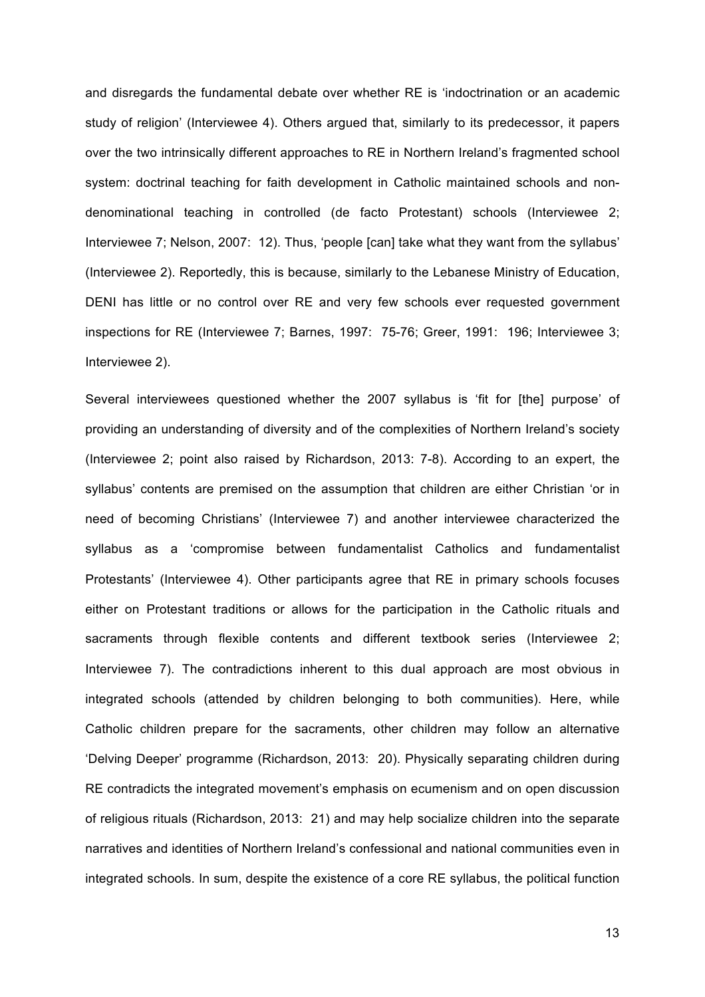and disregards the fundamental debate over whether RE is 'indoctrination or an academic study of religion' (Interviewee 4). Others argued that, similarly to its predecessor, it papers over the two intrinsically different approaches to RE in Northern Ireland's fragmented school system: doctrinal teaching for faith development in Catholic maintained schools and nondenominational teaching in controlled (de facto Protestant) schools (Interviewee 2; Interviewee 7; Nelson, 2007: 12). Thus, 'people [can] take what they want from the syllabus' (Interviewee 2). Reportedly, this is because, similarly to the Lebanese Ministry of Education, DENI has little or no control over RE and very few schools ever requested government inspections for RE (Interviewee 7; Barnes, 1997: 75-76; Greer, 1991: 196; Interviewee 3; Interviewee 2).

Several interviewees questioned whether the 2007 syllabus is 'fit for [the] purpose' of providing an understanding of diversity and of the complexities of Northern Ireland's society (Interviewee 2; point also raised by Richardson, 2013: 7-8). According to an expert, the syllabus' contents are premised on the assumption that children are either Christian 'or in need of becoming Christians' (Interviewee 7) and another interviewee characterized the syllabus as a 'compromise between fundamentalist Catholics and fundamentalist Protestants' (Interviewee 4). Other participants agree that RE in primary schools focuses either on Protestant traditions or allows for the participation in the Catholic rituals and sacraments through flexible contents and different textbook series (Interviewee 2; Interviewee 7). The contradictions inherent to this dual approach are most obvious in integrated schools (attended by children belonging to both communities). Here, while Catholic children prepare for the sacraments, other children may follow an alternative 'Delving Deeper' programme (Richardson, 2013: 20). Physically separating children during RE contradicts the integrated movement's emphasis on ecumenism and on open discussion of religious rituals (Richardson, 2013: 21) and may help socialize children into the separate narratives and identities of Northern Ireland's confessional and national communities even in integrated schools. In sum, despite the existence of a core RE syllabus, the political function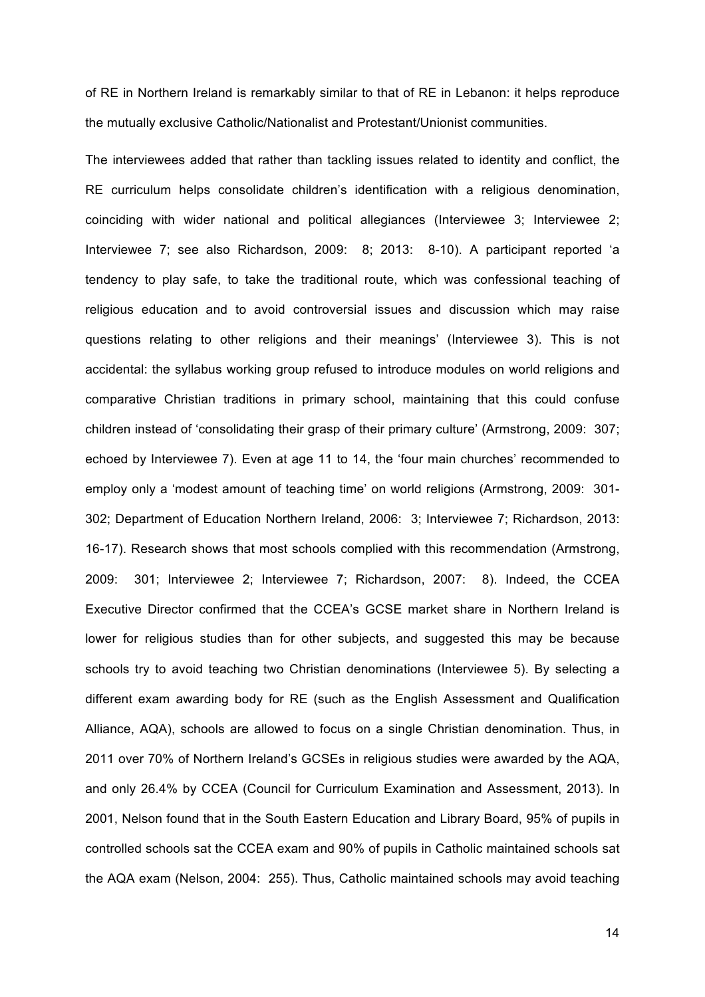of RE in Northern Ireland is remarkably similar to that of RE in Lebanon: it helps reproduce the mutually exclusive Catholic/Nationalist and Protestant/Unionist communities.

The interviewees added that rather than tackling issues related to identity and conflict, the RE curriculum helps consolidate children's identification with a religious denomination, coinciding with wider national and political allegiances (Interviewee 3; Interviewee 2; Interviewee 7; see also Richardson, 2009: 8; 2013: 8-10). A participant reported 'a tendency to play safe, to take the traditional route, which was confessional teaching of religious education and to avoid controversial issues and discussion which may raise questions relating to other religions and their meanings' (Interviewee 3). This is not accidental: the syllabus working group refused to introduce modules on world religions and comparative Christian traditions in primary school, maintaining that this could confuse children instead of 'consolidating their grasp of their primary culture' (Armstrong, 2009: 307; echoed by Interviewee 7). Even at age 11 to 14, the 'four main churches' recommended to employ only a 'modest amount of teaching time' on world religions (Armstrong, 2009: 301- 302; Department of Education Northern Ireland, 2006: 3; Interviewee 7; Richardson, 2013: 16-17). Research shows that most schools complied with this recommendation (Armstrong, 2009: 301; Interviewee 2; Interviewee 7; Richardson, 2007: 8). Indeed, the CCEA Executive Director confirmed that the CCEA's GCSE market share in Northern Ireland is lower for religious studies than for other subjects, and suggested this may be because schools try to avoid teaching two Christian denominations (Interviewee 5). By selecting a different exam awarding body for RE (such as the English Assessment and Qualification Alliance, AQA), schools are allowed to focus on a single Christian denomination. Thus, in 2011 over 70% of Northern Ireland's GCSEs in religious studies were awarded by the AQA, and only 26.4% by CCEA (Council for Curriculum Examination and Assessment, 2013). In 2001, Nelson found that in the South Eastern Education and Library Board, 95% of pupils in controlled schools sat the CCEA exam and 90% of pupils in Catholic maintained schools sat the AQA exam (Nelson, 2004: 255). Thus, Catholic maintained schools may avoid teaching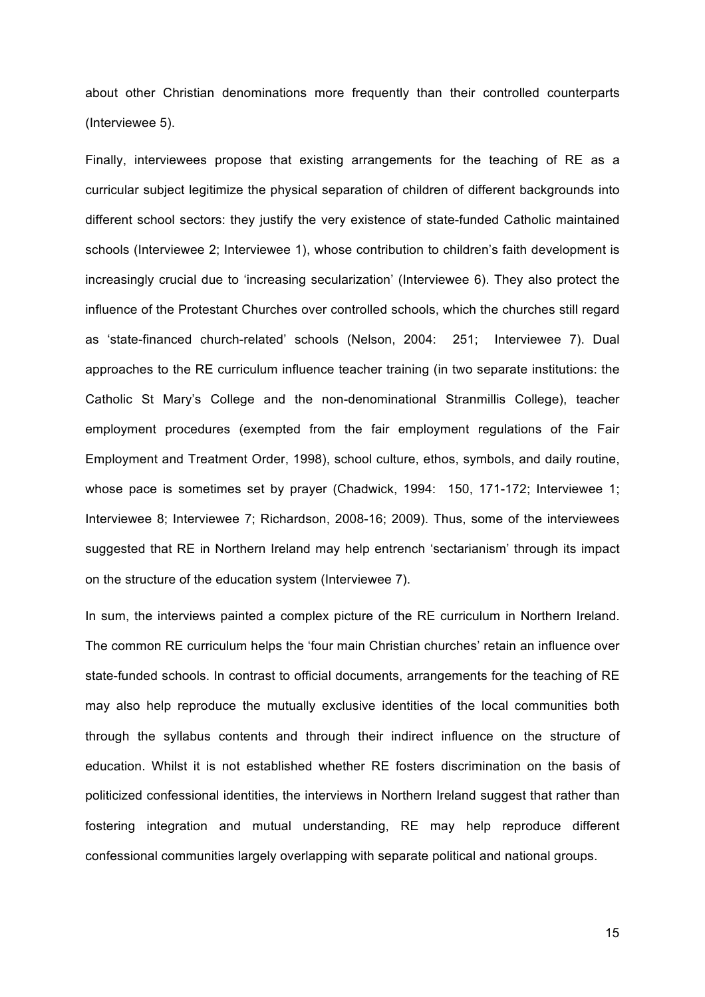about other Christian denominations more frequently than their controlled counterparts (Interviewee 5).

Finally, interviewees propose that existing arrangements for the teaching of RE as a curricular subject legitimize the physical separation of children of different backgrounds into different school sectors: they justify the very existence of state-funded Catholic maintained schools (Interviewee 2; Interviewee 1), whose contribution to children's faith development is increasingly crucial due to 'increasing secularization' (Interviewee 6). They also protect the influence of the Protestant Churches over controlled schools, which the churches still regard as 'state-financed church-related' schools (Nelson, 2004: 251; Interviewee 7). Dual approaches to the RE curriculum influence teacher training (in two separate institutions: the Catholic St Mary's College and the non-denominational Stranmillis College), teacher employment procedures (exempted from the fair employment regulations of the Fair Employment and Treatment Order, 1998), school culture, ethos, symbols, and daily routine, whose pace is sometimes set by prayer (Chadwick, 1994: 150, 171-172; Interviewee 1; Interviewee 8; Interviewee 7; Richardson, 2008-16; 2009). Thus, some of the interviewees suggested that RE in Northern Ireland may help entrench 'sectarianism' through its impact on the structure of the education system (Interviewee 7).

In sum, the interviews painted a complex picture of the RE curriculum in Northern Ireland. The common RE curriculum helps the 'four main Christian churches' retain an influence over state-funded schools. In contrast to official documents, arrangements for the teaching of RE may also help reproduce the mutually exclusive identities of the local communities both through the syllabus contents and through their indirect influence on the structure of education. Whilst it is not established whether RE fosters discrimination on the basis of politicized confessional identities, the interviews in Northern Ireland suggest that rather than fostering integration and mutual understanding, RE may help reproduce different confessional communities largely overlapping with separate political and national groups.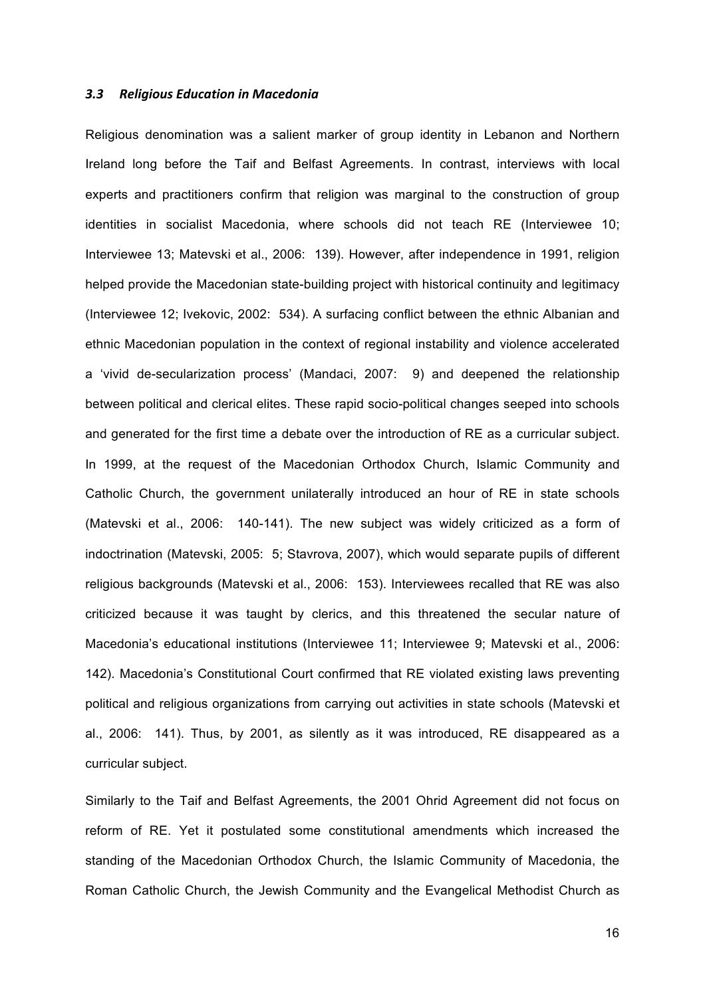#### *3.3 Religious Education in Macedonia*

Religious denomination was a salient marker of group identity in Lebanon and Northern Ireland long before the Taif and Belfast Agreements. In contrast, interviews with local experts and practitioners confirm that religion was marginal to the construction of group identities in socialist Macedonia, where schools did not teach RE (Interviewee 10; Interviewee 13; Matevski et al., 2006: 139). However, after independence in 1991, religion helped provide the Macedonian state-building project with historical continuity and legitimacy (Interviewee 12; Ivekovic, 2002: 534). A surfacing conflict between the ethnic Albanian and ethnic Macedonian population in the context of regional instability and violence accelerated a 'vivid de-secularization process' (Mandaci, 2007: 9) and deepened the relationship between political and clerical elites. These rapid socio-political changes seeped into schools and generated for the first time a debate over the introduction of RE as a curricular subject. In 1999, at the request of the Macedonian Orthodox Church, Islamic Community and Catholic Church, the government unilaterally introduced an hour of RE in state schools (Matevski et al., 2006: 140-141). The new subject was widely criticized as a form of indoctrination (Matevski, 2005: 5; Stavrova, 2007), which would separate pupils of different religious backgrounds (Matevski et al., 2006: 153). Interviewees recalled that RE was also criticized because it was taught by clerics, and this threatened the secular nature of Macedonia's educational institutions (Interviewee 11; Interviewee 9; Matevski et al., 2006: 142). Macedonia's Constitutional Court confirmed that RE violated existing laws preventing political and religious organizations from carrying out activities in state schools (Matevski et al., 2006: 141). Thus, by 2001, as silently as it was introduced, RE disappeared as a curricular subject.

Similarly to the Taif and Belfast Agreements, the 2001 Ohrid Agreement did not focus on reform of RE. Yet it postulated some constitutional amendments which increased the standing of the Macedonian Orthodox Church, the Islamic Community of Macedonia, the Roman Catholic Church, the Jewish Community and the Evangelical Methodist Church as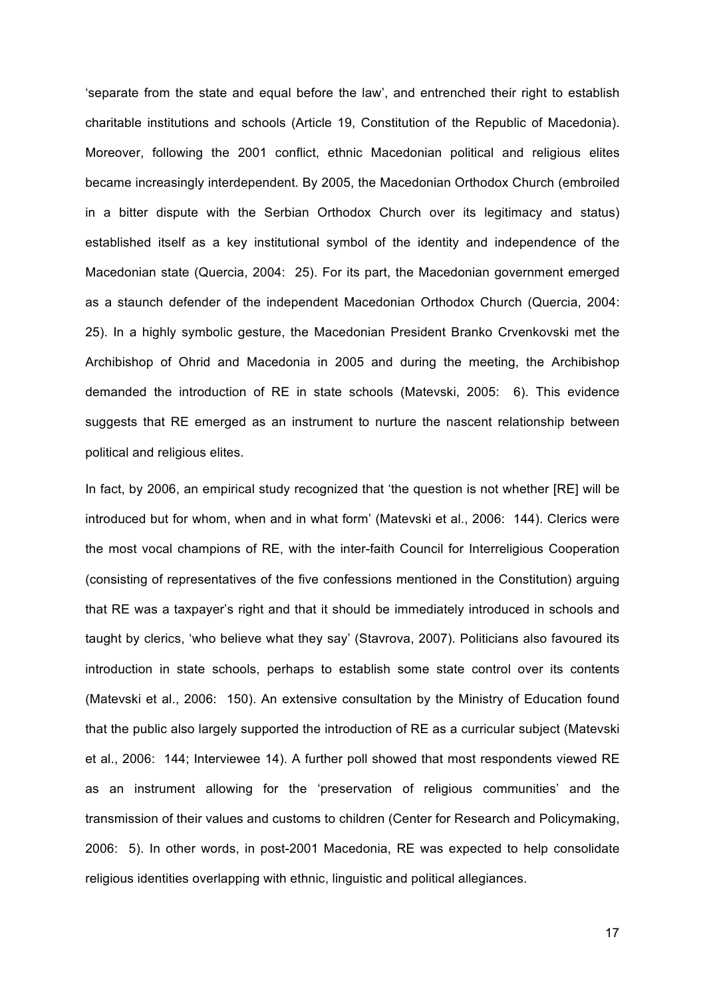'separate from the state and equal before the law', and entrenched their right to establish charitable institutions and schools (Article 19, Constitution of the Republic of Macedonia). Moreover, following the 2001 conflict, ethnic Macedonian political and religious elites became increasingly interdependent. By 2005, the Macedonian Orthodox Church (embroiled in a bitter dispute with the Serbian Orthodox Church over its legitimacy and status) established itself as a key institutional symbol of the identity and independence of the Macedonian state (Quercia, 2004: 25). For its part, the Macedonian government emerged as a staunch defender of the independent Macedonian Orthodox Church (Quercia, 2004: 25). In a highly symbolic gesture, the Macedonian President Branko Crvenkovski met the Archibishop of Ohrid and Macedonia in 2005 and during the meeting, the Archibishop demanded the introduction of RE in state schools (Matevski, 2005: 6). This evidence suggests that RE emerged as an instrument to nurture the nascent relationship between political and religious elites.

In fact, by 2006, an empirical study recognized that 'the question is not whether [RE] will be introduced but for whom, when and in what form' (Matevski et al., 2006: 144). Clerics were the most vocal champions of RE, with the inter-faith Council for Interreligious Cooperation (consisting of representatives of the five confessions mentioned in the Constitution) arguing that RE was a taxpayer's right and that it should be immediately introduced in schools and taught by clerics, 'who believe what they say' (Stavrova, 2007). Politicians also favoured its introduction in state schools, perhaps to establish some state control over its contents (Matevski et al., 2006: 150). An extensive consultation by the Ministry of Education found that the public also largely supported the introduction of RE as a curricular subject (Matevski et al., 2006: 144; Interviewee 14). A further poll showed that most respondents viewed RE as an instrument allowing for the 'preservation of religious communities' and the transmission of their values and customs to children (Center for Research and Policymaking, 2006: 5). In other words, in post-2001 Macedonia, RE was expected to help consolidate religious identities overlapping with ethnic, linguistic and political allegiances.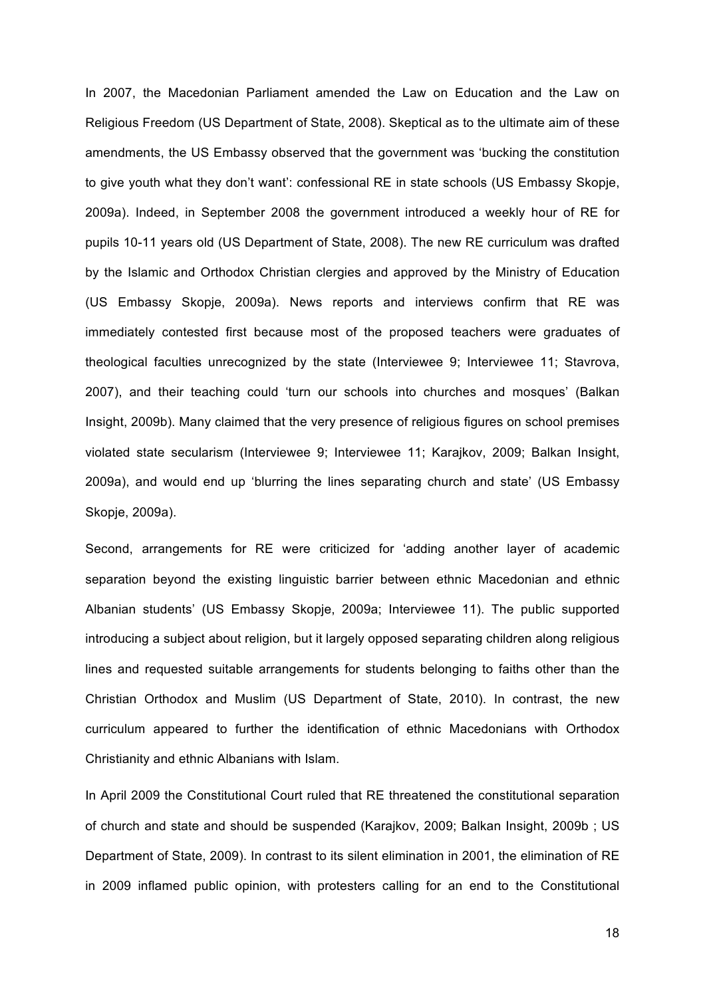In 2007, the Macedonian Parliament amended the Law on Education and the Law on Religious Freedom (US Department of State, 2008). Skeptical as to the ultimate aim of these amendments, the US Embassy observed that the government was 'bucking the constitution to give youth what they don't want': confessional RE in state schools (US Embassy Skopje, 2009a). Indeed, in September 2008 the government introduced a weekly hour of RE for pupils 10-11 years old (US Department of State, 2008). The new RE curriculum was drafted by the Islamic and Orthodox Christian clergies and approved by the Ministry of Education (US Embassy Skopje, 2009a). News reports and interviews confirm that RE was immediately contested first because most of the proposed teachers were graduates of theological faculties unrecognized by the state (Interviewee 9; Interviewee 11; Stavrova, 2007), and their teaching could 'turn our schools into churches and mosques' (Balkan Insight, 2009b). Many claimed that the very presence of religious figures on school premises violated state secularism (Interviewee 9; Interviewee 11; Karajkov, 2009; Balkan Insight, 2009a), and would end up 'blurring the lines separating church and state' (US Embassy Skopje, 2009a).

Second, arrangements for RE were criticized for 'adding another layer of academic separation beyond the existing linguistic barrier between ethnic Macedonian and ethnic Albanian students' (US Embassy Skopje, 2009a; Interviewee 11). The public supported introducing a subject about religion, but it largely opposed separating children along religious lines and requested suitable arrangements for students belonging to faiths other than the Christian Orthodox and Muslim (US Department of State, 2010). In contrast, the new curriculum appeared to further the identification of ethnic Macedonians with Orthodox Christianity and ethnic Albanians with Islam.

In April 2009 the Constitutional Court ruled that RE threatened the constitutional separation of church and state and should be suspended (Karajkov, 2009; Balkan Insight, 2009b ; US Department of State, 2009). In contrast to its silent elimination in 2001, the elimination of RE in 2009 inflamed public opinion, with protesters calling for an end to the Constitutional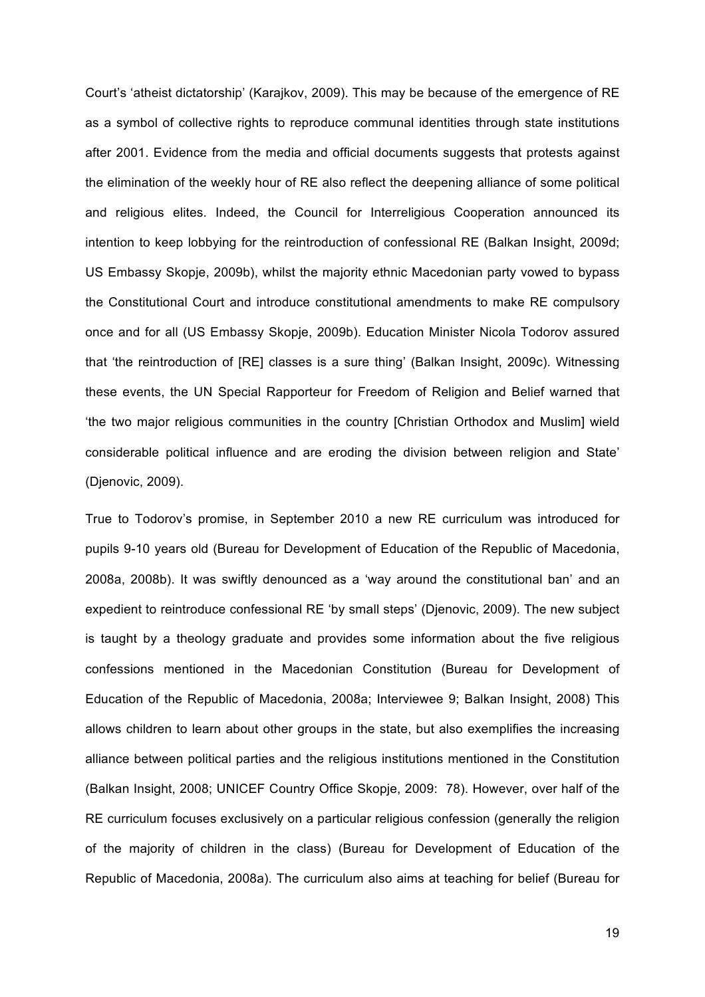Court's 'atheist dictatorship' (Karajkov, 2009). This may be because of the emergence of RE as a symbol of collective rights to reproduce communal identities through state institutions after 2001. Evidence from the media and official documents suggests that protests against the elimination of the weekly hour of RE also reflect the deepening alliance of some political and religious elites. Indeed, the Council for Interreligious Cooperation announced its intention to keep lobbying for the reintroduction of confessional RE (Balkan Insight, 2009d; US Embassy Skopje, 2009b), whilst the majority ethnic Macedonian party vowed to bypass the Constitutional Court and introduce constitutional amendments to make RE compulsory once and for all (US Embassy Skopje, 2009b). Education Minister Nicola Todorov assured that 'the reintroduction of [RE] classes is a sure thing' (Balkan Insight, 2009c). Witnessing these events, the UN Special Rapporteur for Freedom of Religion and Belief warned that 'the two major religious communities in the country [Christian Orthodox and Muslim] wield considerable political influence and are eroding the division between religion and State' (Djenovic, 2009).

True to Todorov's promise, in September 2010 a new RE curriculum was introduced for pupils 9-10 years old (Bureau for Development of Education of the Republic of Macedonia, 2008a, 2008b). It was swiftly denounced as a 'way around the constitutional ban' and an expedient to reintroduce confessional RE 'by small steps' (Djenovic, 2009). The new subject is taught by a theology graduate and provides some information about the five religious confessions mentioned in the Macedonian Constitution (Bureau for Development of Education of the Republic of Macedonia, 2008a; Interviewee 9; Balkan Insight, 2008) This allows children to learn about other groups in the state, but also exemplifies the increasing alliance between political parties and the religious institutions mentioned in the Constitution (Balkan Insight, 2008; UNICEF Country Office Skopje, 2009: 78). However, over half of the RE curriculum focuses exclusively on a particular religious confession (generally the religion of the majority of children in the class) (Bureau for Development of Education of the Republic of Macedonia, 2008a). The curriculum also aims at teaching for belief (Bureau for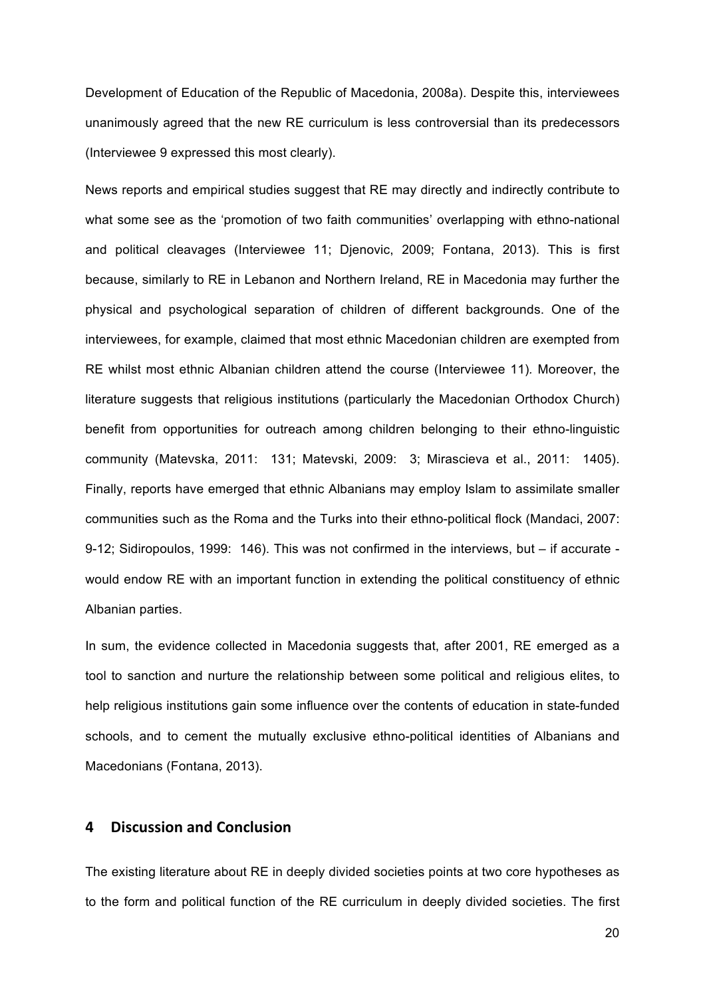Development of Education of the Republic of Macedonia, 2008a). Despite this, interviewees unanimously agreed that the new RE curriculum is less controversial than its predecessors (Interviewee 9 expressed this most clearly).

News reports and empirical studies suggest that RE may directly and indirectly contribute to what some see as the 'promotion of two faith communities' overlapping with ethno-national and political cleavages (Interviewee 11; Djenovic, 2009; Fontana, 2013). This is first because, similarly to RE in Lebanon and Northern Ireland, RE in Macedonia may further the physical and psychological separation of children of different backgrounds. One of the interviewees, for example, claimed that most ethnic Macedonian children are exempted from RE whilst most ethnic Albanian children attend the course (Interviewee 11)*.* Moreover, the literature suggests that religious institutions (particularly the Macedonian Orthodox Church) benefit from opportunities for outreach among children belonging to their ethno-linguistic community (Matevska, 2011: 131; Matevski, 2009: 3; Mirascieva et al., 2011: 1405). Finally, reports have emerged that ethnic Albanians may employ Islam to assimilate smaller communities such as the Roma and the Turks into their ethno-political flock (Mandaci, 2007: 9-12; Sidiropoulos, 1999: 146). This was not confirmed in the interviews, but – if accurate would endow RE with an important function in extending the political constituency of ethnic Albanian parties.

In sum, the evidence collected in Macedonia suggests that, after 2001, RE emerged as a tool to sanction and nurture the relationship between some political and religious elites, to help religious institutions gain some influence over the contents of education in state-funded schools, and to cement the mutually exclusive ethno-political identities of Albanians and Macedonians (Fontana, 2013).

## **4 Discussion and Conclusion**

The existing literature about RE in deeply divided societies points at two core hypotheses as to the form and political function of the RE curriculum in deeply divided societies. The first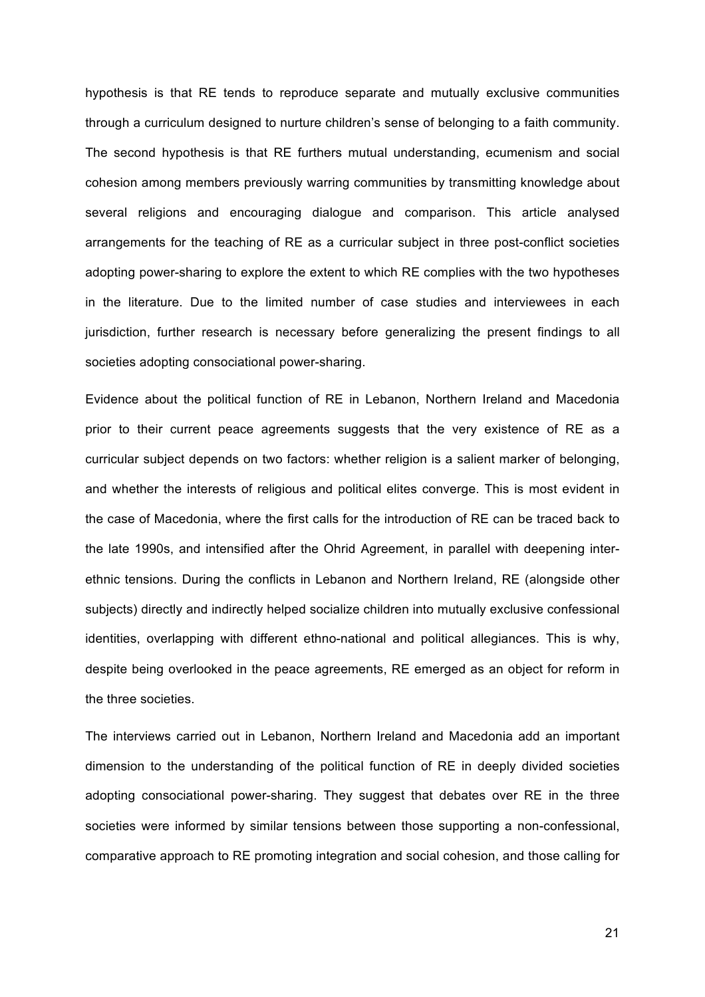hypothesis is that RE tends to reproduce separate and mutually exclusive communities through a curriculum designed to nurture children's sense of belonging to a faith community. The second hypothesis is that RE furthers mutual understanding, ecumenism and social cohesion among members previously warring communities by transmitting knowledge about several religions and encouraging dialogue and comparison. This article analysed arrangements for the teaching of RE as a curricular subject in three post-conflict societies adopting power-sharing to explore the extent to which RE complies with the two hypotheses in the literature. Due to the limited number of case studies and interviewees in each jurisdiction, further research is necessary before generalizing the present findings to all societies adopting consociational power-sharing.

Evidence about the political function of RE in Lebanon, Northern Ireland and Macedonia prior to their current peace agreements suggests that the very existence of RE as a curricular subject depends on two factors: whether religion is a salient marker of belonging, and whether the interests of religious and political elites converge. This is most evident in the case of Macedonia, where the first calls for the introduction of RE can be traced back to the late 1990s, and intensified after the Ohrid Agreement, in parallel with deepening interethnic tensions. During the conflicts in Lebanon and Northern Ireland, RE (alongside other subjects) directly and indirectly helped socialize children into mutually exclusive confessional identities, overlapping with different ethno-national and political allegiances. This is why, despite being overlooked in the peace agreements, RE emerged as an object for reform in the three societies.

The interviews carried out in Lebanon, Northern Ireland and Macedonia add an important dimension to the understanding of the political function of RE in deeply divided societies adopting consociational power-sharing. They suggest that debates over RE in the three societies were informed by similar tensions between those supporting a non-confessional, comparative approach to RE promoting integration and social cohesion, and those calling for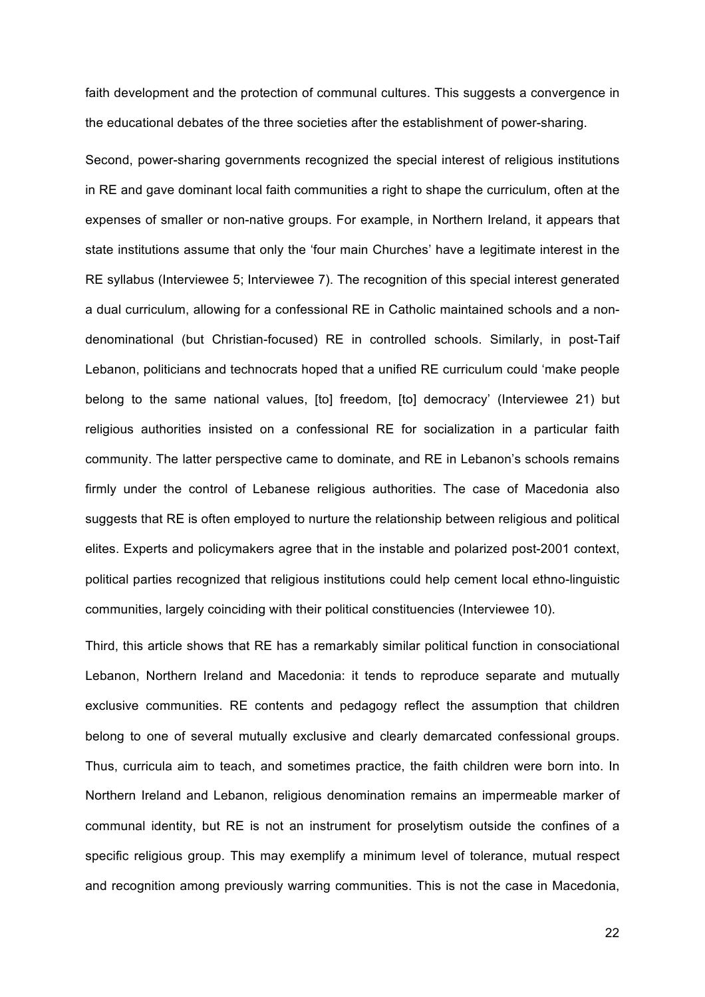faith development and the protection of communal cultures. This suggests a convergence in the educational debates of the three societies after the establishment of power-sharing.

Second, power-sharing governments recognized the special interest of religious institutions in RE and gave dominant local faith communities a right to shape the curriculum, often at the expenses of smaller or non-native groups. For example, in Northern Ireland, it appears that state institutions assume that only the 'four main Churches' have a legitimate interest in the RE syllabus (Interviewee 5; Interviewee 7). The recognition of this special interest generated a dual curriculum, allowing for a confessional RE in Catholic maintained schools and a nondenominational (but Christian-focused) RE in controlled schools. Similarly, in post-Taif Lebanon, politicians and technocrats hoped that a unified RE curriculum could 'make people belong to the same national values, [to] freedom, [to] democracy' (Interviewee 21) but religious authorities insisted on a confessional RE for socialization in a particular faith community. The latter perspective came to dominate, and RE in Lebanon's schools remains firmly under the control of Lebanese religious authorities. The case of Macedonia also suggests that RE is often employed to nurture the relationship between religious and political elites. Experts and policymakers agree that in the instable and polarized post-2001 context, political parties recognized that religious institutions could help cement local ethno-linguistic communities, largely coinciding with their political constituencies (Interviewee 10).

Third, this article shows that RE has a remarkably similar political function in consociational Lebanon, Northern Ireland and Macedonia: it tends to reproduce separate and mutually exclusive communities. RE contents and pedagogy reflect the assumption that children belong to one of several mutually exclusive and clearly demarcated confessional groups. Thus, curricula aim to teach, and sometimes practice, the faith children were born into. In Northern Ireland and Lebanon, religious denomination remains an impermeable marker of communal identity, but RE is not an instrument for proselytism outside the confines of a specific religious group. This may exemplify a minimum level of tolerance, mutual respect and recognition among previously warring communities. This is not the case in Macedonia,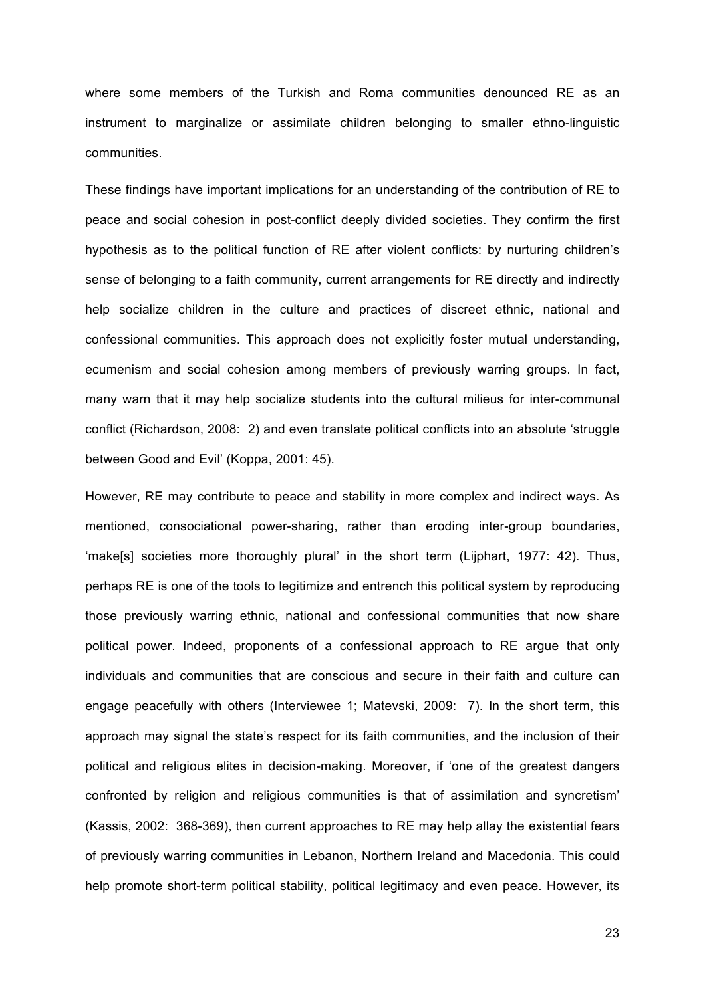where some members of the Turkish and Roma communities denounced RE as an instrument to marginalize or assimilate children belonging to smaller ethno-linguistic communities.

These findings have important implications for an understanding of the contribution of RE to peace and social cohesion in post-conflict deeply divided societies. They confirm the first hypothesis as to the political function of RE after violent conflicts: by nurturing children's sense of belonging to a faith community, current arrangements for RE directly and indirectly help socialize children in the culture and practices of discreet ethnic, national and confessional communities. This approach does not explicitly foster mutual understanding, ecumenism and social cohesion among members of previously warring groups. In fact, many warn that it may help socialize students into the cultural milieus for inter-communal conflict (Richardson, 2008: 2) and even translate political conflicts into an absolute 'struggle between Good and Evil' (Koppa, 2001: 45).

However, RE may contribute to peace and stability in more complex and indirect ways. As mentioned, consociational power-sharing, rather than eroding inter-group boundaries, 'make[s] societies more thoroughly plural' in the short term (Lijphart, 1977: 42). Thus, perhaps RE is one of the tools to legitimize and entrench this political system by reproducing those previously warring ethnic, national and confessional communities that now share political power. Indeed, proponents of a confessional approach to RE argue that only individuals and communities that are conscious and secure in their faith and culture can engage peacefully with others (Interviewee 1; Matevski, 2009: 7). In the short term, this approach may signal the state's respect for its faith communities, and the inclusion of their political and religious elites in decision-making. Moreover, if 'one of the greatest dangers confronted by religion and religious communities is that of assimilation and syncretism' (Kassis, 2002: 368-369), then current approaches to RE may help allay the existential fears of previously warring communities in Lebanon, Northern Ireland and Macedonia. This could help promote short-term political stability, political legitimacy and even peace. However, its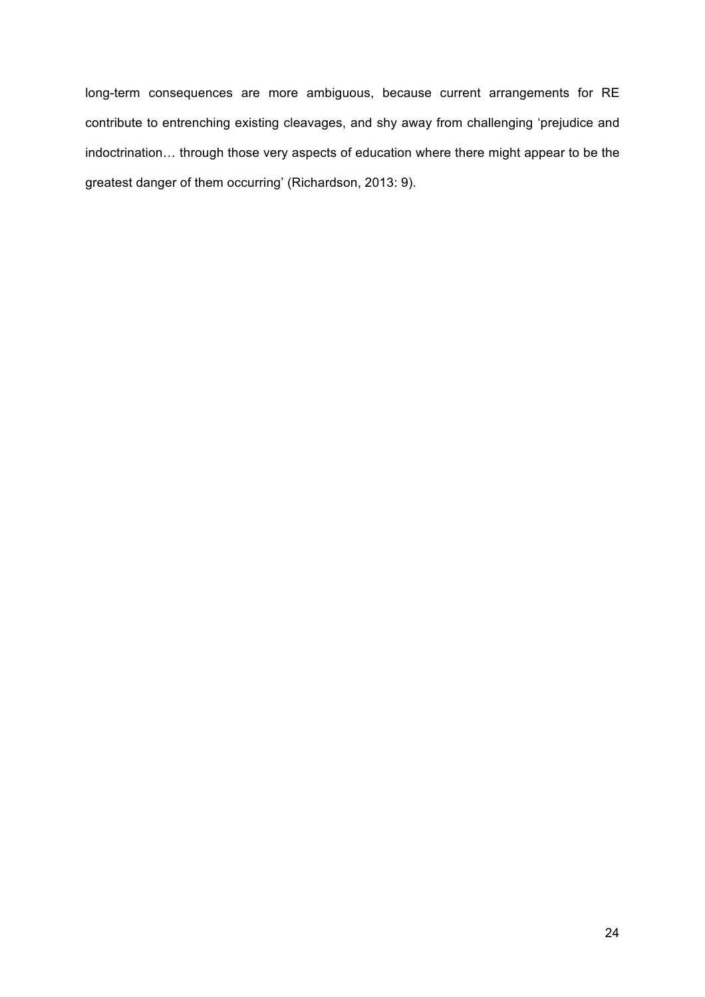long-term consequences are more ambiguous, because current arrangements for RE contribute to entrenching existing cleavages, and shy away from challenging 'prejudice and indoctrination… through those very aspects of education where there might appear to be the greatest danger of them occurring' (Richardson, 2013: 9).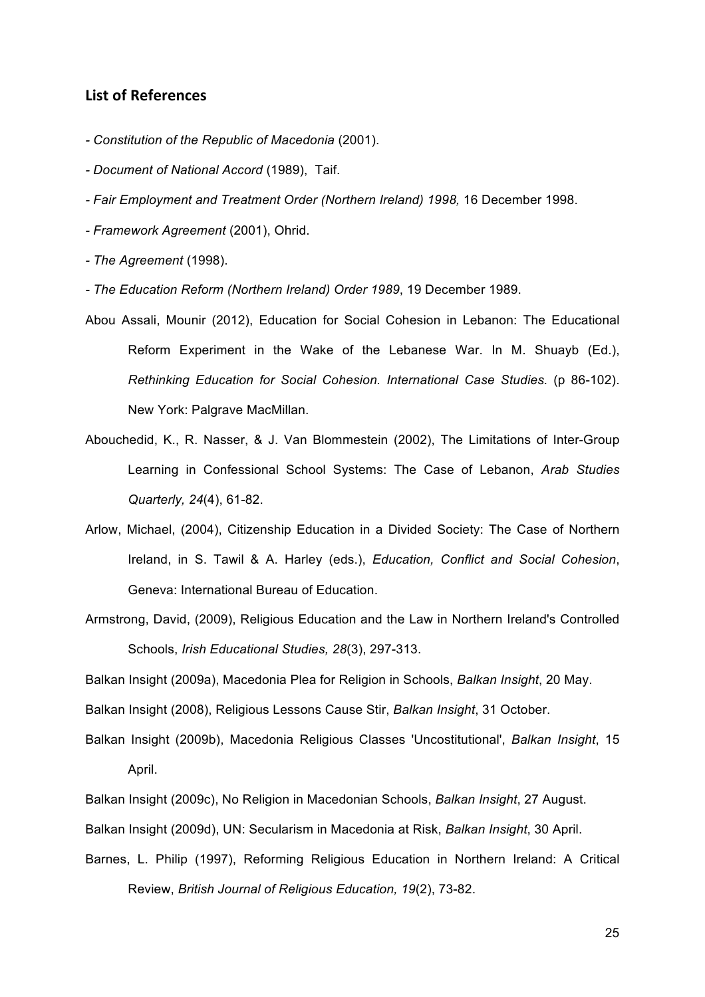### **List of References**

- *- Constitution of the Republic of Macedonia* (2001).
- *- Document of National Accord* (1989), Taif.
- *- Fair Employment and Treatment Order (Northern Ireland) 1998,* 16 December 1998.
- *- Framework Agreement* (2001), Ohrid.
- *- The Agreement* (1998).
- *- The Education Reform (Northern Ireland) Order 1989*, 19 December 1989.
- Abou Assali, Mounir (2012), Education for Social Cohesion in Lebanon: The Educational Reform Experiment in the Wake of the Lebanese War. In M. Shuayb (Ed.), *Rethinking Education for Social Cohesion. International Case Studies.* (p 86-102). New York: Palgrave MacMillan.
- Abouchedid, K., R. Nasser, & J. Van Blommestein (2002), The Limitations of Inter-Group Learning in Confessional School Systems: The Case of Lebanon, *Arab Studies Quarterly, 24*(4), 61-82.
- Arlow, Michael, (2004), Citizenship Education in a Divided Society: The Case of Northern Ireland, in S. Tawil & A. Harley (eds.), *Education, Conflict and Social Cohesion*, Geneva: International Bureau of Education.
- Armstrong, David, (2009), Religious Education and the Law in Northern Ireland's Controlled Schools, *Irish Educational Studies, 28*(3), 297-313.

Balkan Insight (2009a), Macedonia Plea for Religion in Schools, *Balkan Insight*, 20 May.

Balkan Insight (2008), Religious Lessons Cause Stir, *Balkan Insight*, 31 October.

- Balkan Insight (2009b), Macedonia Religious Classes 'Uncostitutional', *Balkan Insight*, 15 April.
- Balkan Insight (2009c), No Religion in Macedonian Schools, *Balkan Insight*, 27 August.

Balkan Insight (2009d), UN: Secularism in Macedonia at Risk, *Balkan Insight*, 30 April.

Barnes, L. Philip (1997), Reforming Religious Education in Northern Ireland: A Critical Review, *British Journal of Religious Education, 19*(2), 73-82.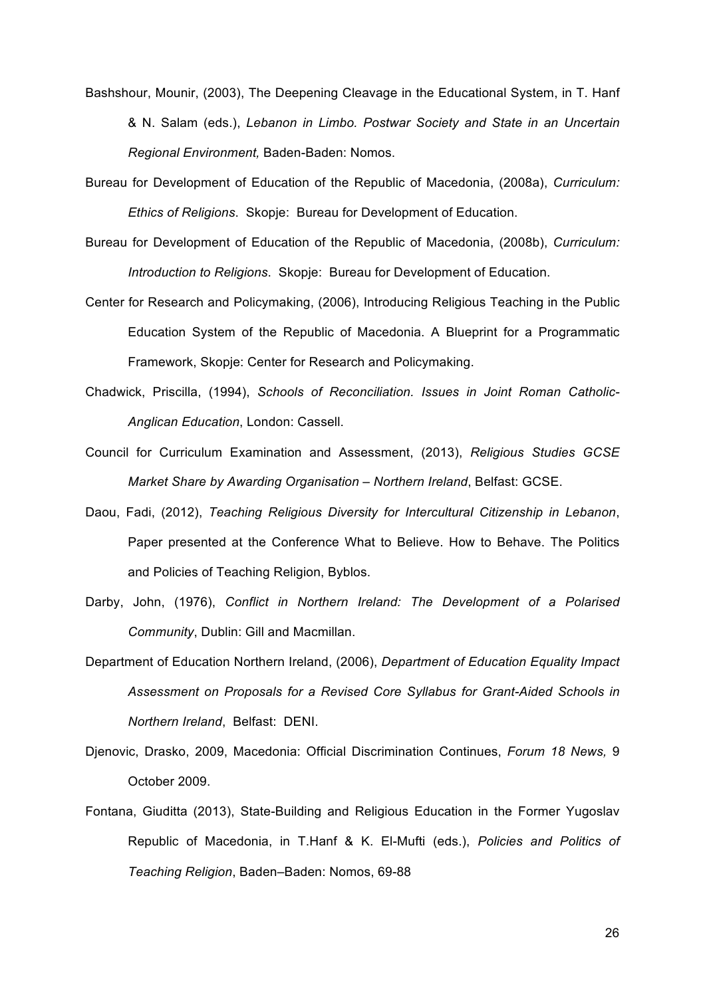- Bashshour, Mounir, (2003), The Deepening Cleavage in the Educational System, in T. Hanf & N. Salam (eds.), *Lebanon in Limbo. Postwar Society and State in an Uncertain Regional Environment,* Baden-Baden: Nomos.
- Bureau for Development of Education of the Republic of Macedonia, (2008a), *Curriculum: Ethics of Religions*. Skopje: Bureau for Development of Education.
- Bureau for Development of Education of the Republic of Macedonia, (2008b), *Curriculum: Introduction to Religions*. Skopje: Bureau for Development of Education.
- Center for Research and Policymaking, (2006), Introducing Religious Teaching in the Public Education System of the Republic of Macedonia. A Blueprint for a Programmatic Framework, Skopje: Center for Research and Policymaking.
- Chadwick, Priscilla, (1994), *Schools of Reconciliation. Issues in Joint Roman Catholic-Anglican Education*, London: Cassell.
- Council for Curriculum Examination and Assessment, (2013), *Religious Studies GCSE Market Share by Awarding Organisation – Northern Ireland*, Belfast: GCSE.
- Daou, Fadi, (2012), *Teaching Religious Diversity for Intercultural Citizenship in Lebanon*, Paper presented at the Conference What to Believe. How to Behave. The Politics and Policies of Teaching Religion, Byblos.
- Darby, John, (1976), *Conflict in Northern Ireland: The Development of a Polarised Community*, Dublin: Gill and Macmillan.
- Department of Education Northern Ireland, (2006), *Department of Education Equality Impact Assessment on Proposals for a Revised Core Syllabus for Grant-Aided Schools in Northern Ireland*, Belfast: DENI.
- Djenovic, Drasko, 2009, Macedonia: Official Discrimination Continues, *Forum 18 News,* 9 October 2009.
- Fontana, Giuditta (2013), State-Building and Religious Education in the Former Yugoslav Republic of Macedonia, in T.Hanf & K. El-Mufti (eds.), *Policies and Politics of Teaching Religion*, Baden–Baden: Nomos, 69-88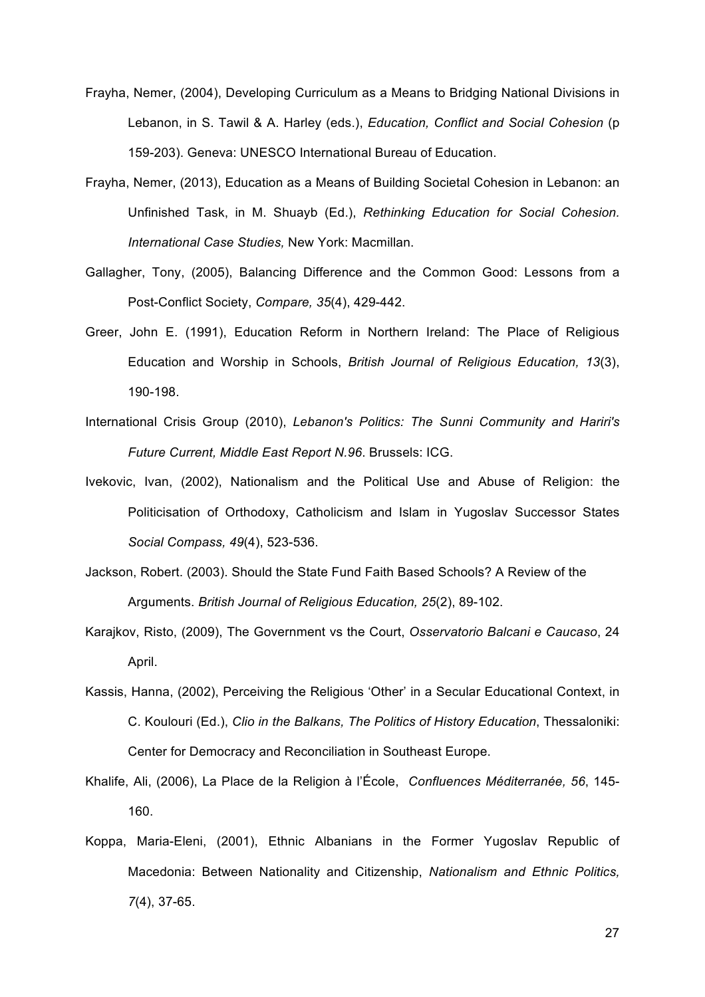- Frayha, Nemer, (2004), Developing Curriculum as a Means to Bridging National Divisions in Lebanon, in S. Tawil & A. Harley (eds.), *Education, Conflict and Social Cohesion* (p 159-203). Geneva: UNESCO International Bureau of Education.
- Frayha, Nemer, (2013), Education as a Means of Building Societal Cohesion in Lebanon: an Unfinished Task, in M. Shuayb (Ed.), *Rethinking Education for Social Cohesion. International Case Studies,* New York: Macmillan.
- Gallagher, Tony, (2005), Balancing Difference and the Common Good: Lessons from a Post-Conflict Society, *Compare, 35*(4), 429-442.
- Greer, John E. (1991), Education Reform in Northern Ireland: The Place of Religious Education and Worship in Schools, *British Journal of Religious Education, 13*(3), 190-198.
- International Crisis Group (2010), *Lebanon's Politics: The Sunni Community and Hariri's Future Current, Middle East Report N.96*. Brussels: ICG.
- Ivekovic, Ivan, (2002), Nationalism and the Political Use and Abuse of Religion: the Politicisation of Orthodoxy, Catholicism and Islam in Yugoslav Successor States *Social Compass, 49*(4), 523-536.
- Jackson, Robert. (2003). Should the State Fund Faith Based Schools? A Review of the Arguments. *British Journal of Religious Education, 25*(2), 89-102.
- Karajkov, Risto, (2009), The Government vs the Court, *Osservatorio Balcani e Caucaso*, 24 April.
- Kassis, Hanna, (2002), Perceiving the Religious 'Other' in a Secular Educational Context, in C. Koulouri (Ed.), *Clio in the Balkans, The Politics of History Education*, Thessaloniki: Center for Democracy and Reconciliation in Southeast Europe.
- Khalife, Ali, (2006), La Place de la Religion à l'École, *Confluences Méditerranée, 56*, 145- 160.
- Koppa, Maria-Eleni, (2001), Ethnic Albanians in the Former Yugoslav Republic of Macedonia: Between Nationality and Citizenship, *Nationalism and Ethnic Politics, 7*(4), 37-65.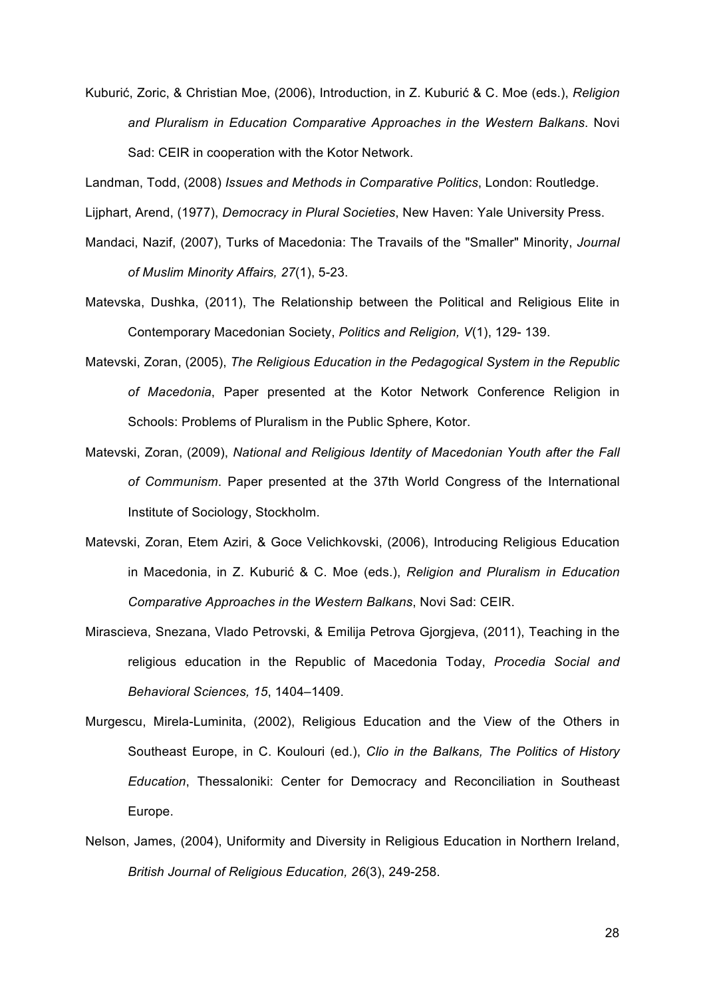Kuburić, Zoric, & Christian Moe, (2006), Introduction, in Z. Kuburić & C. Moe (eds.), *Religion and Pluralism in Education Comparative Approaches in the Western Balkans*. Novi Sad: CEIR in cooperation with the Kotor Network.

Landman, Todd, (2008) *Issues and Methods in Comparative Politics*, London: Routledge.

- Lijphart, Arend, (1977), *Democracy in Plural Societies*, New Haven: Yale University Press.
- Mandaci, Nazif, (2007), Turks of Macedonia: The Travails of the "Smaller" Minority, *Journal of Muslim Minority Affairs, 27*(1), 5-23.
- Matevska, Dushka, (2011), The Relationship between the Political and Religious Elite in Contemporary Macedonian Society, *Politics and Religion, V*(1), 129- 139.
- Matevski, Zoran, (2005), *The Religious Education in the Pedagogical System in the Republic of Macedonia*, Paper presented at the Kotor Network Conference Religion in Schools: Problems of Pluralism in the Public Sphere, Kotor.
- Matevski, Zoran, (2009), *National and Religious Identity of Macedonian Youth after the Fall of Communism*. Paper presented at the 37th World Congress of the International Institute of Sociology, Stockholm.
- Matevski, Zoran, Etem Aziri, & Goce Velichkovski, (2006), Introducing Religious Education in Macedonia, in Z. Kuburić & C. Moe (eds.), *Religion and Pluralism in Education Comparative Approaches in the Western Balkans*, Novi Sad: CEIR.
- Mirascieva, Snezana, Vlado Petrovski, & Emilija Petrova Gjorgjeva, (2011), Teaching in the religious education in the Republic of Macedonia Today, *Procedia Social and Behavioral Sciences, 15*, 1404–1409.
- Murgescu, Mirela-Luminita, (2002), Religious Education and the View of the Others in Southeast Europe, in C. Koulouri (ed.), *Clio in the Balkans, The Politics of History Education*, Thessaloniki: Center for Democracy and Reconciliation in Southeast Europe.
- Nelson, James, (2004), Uniformity and Diversity in Religious Education in Northern Ireland, *British Journal of Religious Education, 26*(3), 249-258.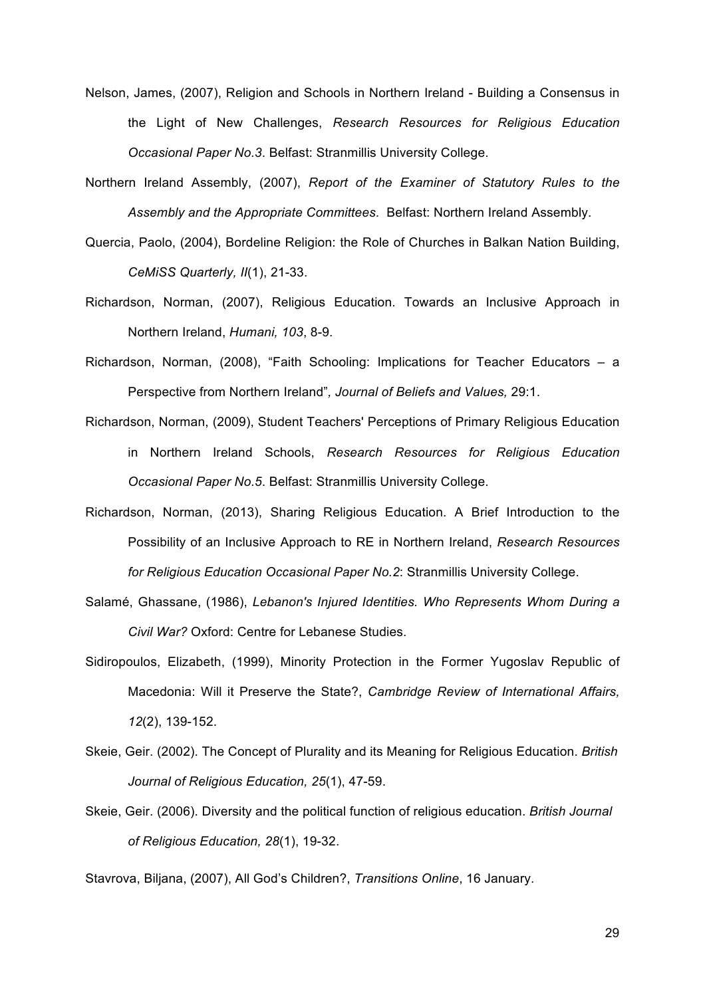- Nelson, James, (2007), Religion and Schools in Northern Ireland Building a Consensus in the Light of New Challenges, *Research Resources for Religious Education Occasional Paper No.3*. Belfast: Stranmillis University College.
- Northern Ireland Assembly, (2007), *Report of the Examiner of Statutory Rules to the Assembly and the Appropriate Committees*. Belfast: Northern Ireland Assembly.
- Quercia, Paolo, (2004), Bordeline Religion: the Role of Churches in Balkan Nation Building, *CeMiSS Quarterly, II*(1), 21-33.
- Richardson, Norman, (2007), Religious Education. Towards an Inclusive Approach in Northern Ireland, *Humani, 103*, 8-9.
- Richardson, Norman, (2008), "Faith Schooling: Implications for Teacher Educators a Perspective from Northern Ireland"*, Journal of Beliefs and Values,* 29:1.
- Richardson, Norman, (2009), Student Teachers' Perceptions of Primary Religious Education in Northern Ireland Schools, *Research Resources for Religious Education Occasional Paper No.5*. Belfast: Stranmillis University College.
- Richardson, Norman, (2013), Sharing Religious Education. A Brief Introduction to the Possibility of an Inclusive Approach to RE in Northern Ireland, *Research Resources for Religious Education Occasional Paper No.2*: Stranmillis University College.
- Salamé, Ghassane, (1986), *Lebanon's Injured Identities. Who Represents Whom During a Civil War?* Oxford: Centre for Lebanese Studies.
- Sidiropoulos, Elizabeth, (1999), Minority Protection in the Former Yugoslav Republic of Macedonia: Will it Preserve the State?, *Cambridge Review of International Affairs, 12*(2), 139-152.
- Skeie, Geir. (2002). The Concept of Plurality and its Meaning for Religious Education. *British Journal of Religious Education, 25*(1), 47-59.
- Skeie, Geir. (2006). Diversity and the political function of religious education. *British Journal of Religious Education, 28*(1), 19-32.

Stavrova, Biljana, (2007), All God's Children?, *Transitions Online*, 16 January.